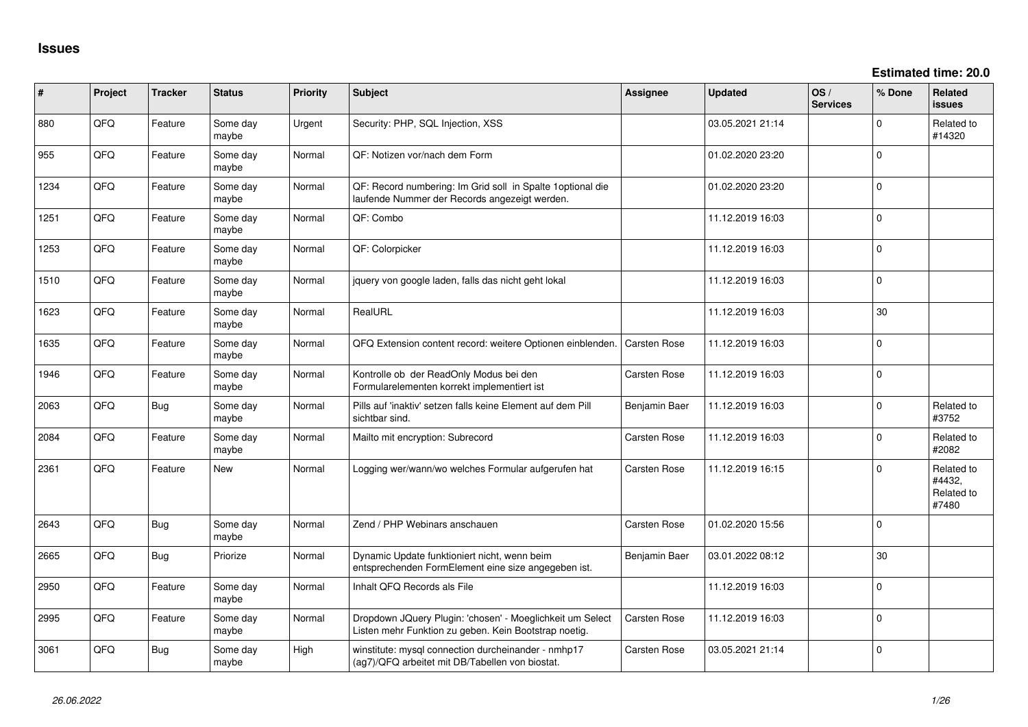**Estimated time: 20.0**

| #    | Project | <b>Tracker</b> | <b>Status</b>     | <b>Priority</b> | <b>Subject</b>                                                                                                     | Assignee      | <b>Updated</b>   | OS/<br><b>Services</b> | % Done      | Related<br>issues                           |
|------|---------|----------------|-------------------|-----------------|--------------------------------------------------------------------------------------------------------------------|---------------|------------------|------------------------|-------------|---------------------------------------------|
| 880  | QFQ     | Feature        | Some day<br>maybe | Urgent          | Security: PHP, SQL Injection, XSS                                                                                  |               | 03.05.2021 21:14 |                        | $\Omega$    | Related to<br>#14320                        |
| 955  | QFQ     | Feature        | Some day<br>maybe | Normal          | QF: Notizen vor/nach dem Form                                                                                      |               | 01.02.2020 23:20 |                        | $\Omega$    |                                             |
| 1234 | QFQ     | Feature        | Some day<br>maybe | Normal          | QF: Record numbering: Im Grid soll in Spalte 1optional die<br>laufende Nummer der Records angezeigt werden.        |               | 01.02.2020 23:20 |                        | $\Omega$    |                                             |
| 1251 | QFQ     | Feature        | Some day<br>maybe | Normal          | QF: Combo                                                                                                          |               | 11.12.2019 16:03 |                        | $\Omega$    |                                             |
| 1253 | QFQ     | Feature        | Some day<br>maybe | Normal          | QF: Colorpicker                                                                                                    |               | 11.12.2019 16:03 |                        | $\Omega$    |                                             |
| 1510 | QFQ     | Feature        | Some day<br>maybe | Normal          | jquery von google laden, falls das nicht geht lokal                                                                |               | 11.12.2019 16:03 |                        | $\Omega$    |                                             |
| 1623 | QFQ     | Feature        | Some day<br>maybe | Normal          | RealURL                                                                                                            |               | 11.12.2019 16:03 |                        | 30          |                                             |
| 1635 | QFQ     | Feature        | Some day<br>maybe | Normal          | QFQ Extension content record: weitere Optionen einblenden.                                                         | Carsten Rose  | 11.12.2019 16:03 |                        | $\Omega$    |                                             |
| 1946 | QFQ     | Feature        | Some day<br>maybe | Normal          | Kontrolle ob der ReadOnly Modus bei den<br>Formularelementen korrekt implementiert ist                             | Carsten Rose  | 11.12.2019 16:03 |                        | $\Omega$    |                                             |
| 2063 | QFQ     | <b>Bug</b>     | Some day<br>maybe | Normal          | Pills auf 'inaktiv' setzen falls keine Element auf dem Pill<br>sichtbar sind.                                      | Benjamin Baer | 11.12.2019 16:03 |                        | $\Omega$    | Related to<br>#3752                         |
| 2084 | QFQ     | Feature        | Some day<br>maybe | Normal          | Mailto mit encryption: Subrecord                                                                                   | Carsten Rose  | 11.12.2019 16:03 |                        | $\mathbf 0$ | Related to<br>#2082                         |
| 2361 | QFQ     | Feature        | <b>New</b>        | Normal          | Logging wer/wann/wo welches Formular aufgerufen hat                                                                | Carsten Rose  | 11.12.2019 16:15 |                        | $\Omega$    | Related to<br>#4432,<br>Related to<br>#7480 |
| 2643 | QFQ     | <b>Bug</b>     | Some day<br>maybe | Normal          | Zend / PHP Webinars anschauen                                                                                      | Carsten Rose  | 01.02.2020 15:56 |                        | $\mathbf 0$ |                                             |
| 2665 | QFQ     | <b>Bug</b>     | Priorize          | Normal          | Dynamic Update funktioniert nicht, wenn beim<br>entsprechenden FormElement eine size angegeben ist.                | Benjamin Baer | 03.01.2022 08:12 |                        | 30          |                                             |
| 2950 | QFQ     | Feature        | Some day<br>maybe | Normal          | Inhalt QFQ Records als File                                                                                        |               | 11.12.2019 16:03 |                        | $\Omega$    |                                             |
| 2995 | QFQ     | Feature        | Some day<br>maybe | Normal          | Dropdown JQuery Plugin: 'chosen' - Moeglichkeit um Select<br>Listen mehr Funktion zu geben. Kein Bootstrap noetig. | Carsten Rose  | 11.12.2019 16:03 |                        | $\mathbf 0$ |                                             |
| 3061 | QFQ     | <b>Bug</b>     | Some day<br>maybe | High            | winstitute: mysql connection durcheinander - nmhp17<br>(ag7)/QFQ arbeitet mit DB/Tabellen von biostat.             | Carsten Rose  | 03.05.2021 21:14 |                        | $\mathbf 0$ |                                             |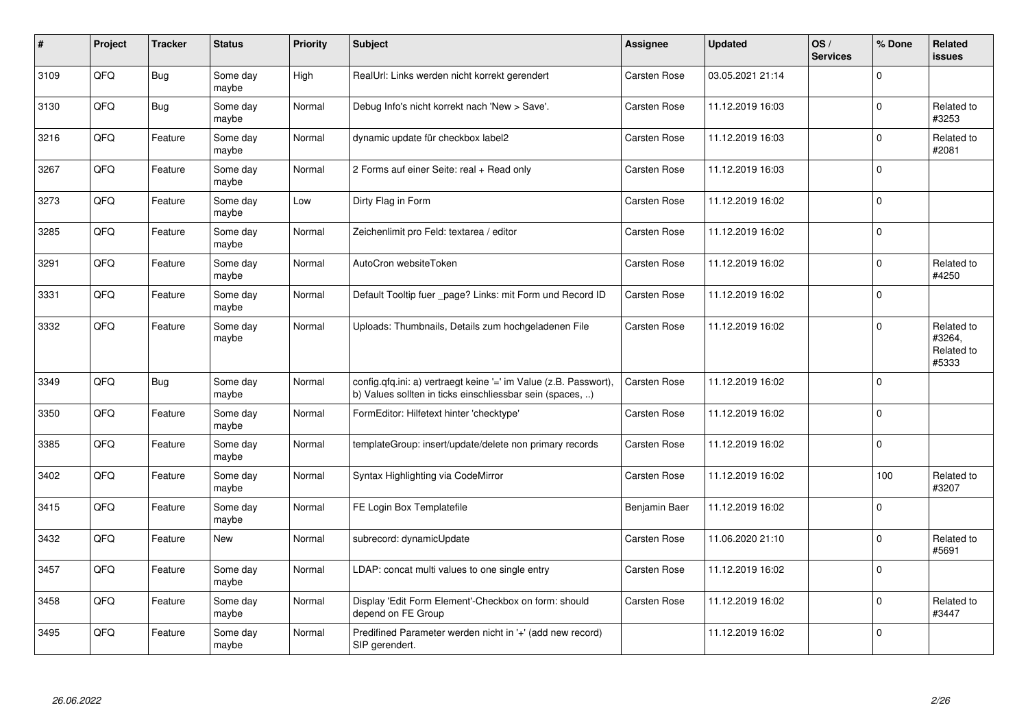| $\vert$ # | Project    | <b>Tracker</b> | <b>Status</b>     | <b>Priority</b> | <b>Subject</b>                                                                                                                | <b>Assignee</b>     | <b>Updated</b>   | OS/<br><b>Services</b> | % Done       | <b>Related</b><br><b>issues</b>             |
|-----------|------------|----------------|-------------------|-----------------|-------------------------------------------------------------------------------------------------------------------------------|---------------------|------------------|------------------------|--------------|---------------------------------------------|
| 3109      | QFQ        | <b>Bug</b>     | Some day<br>maybe | High            | RealUrl: Links werden nicht korrekt gerendert                                                                                 | <b>Carsten Rose</b> | 03.05.2021 21:14 |                        | $\Omega$     |                                             |
| 3130      | QFQ        | <b>Bug</b>     | Some day<br>maybe | Normal          | Debug Info's nicht korrekt nach 'New > Save'.                                                                                 | Carsten Rose        | 11.12.2019 16:03 |                        | $\Omega$     | Related to<br>#3253                         |
| 3216      | QFQ        | Feature        | Some day<br>maybe | Normal          | dynamic update für checkbox label2                                                                                            | Carsten Rose        | 11.12.2019 16:03 |                        | $\mathbf 0$  | Related to<br>#2081                         |
| 3267      | QFQ        | Feature        | Some day<br>maybe | Normal          | 2 Forms auf einer Seite: real + Read only                                                                                     | Carsten Rose        | 11.12.2019 16:03 |                        | $\Omega$     |                                             |
| 3273      | QFQ        | Feature        | Some day<br>maybe | Low             | Dirty Flag in Form                                                                                                            | <b>Carsten Rose</b> | 11.12.2019 16:02 |                        | $\Omega$     |                                             |
| 3285      | QFQ        | Feature        | Some day<br>maybe | Normal          | Zeichenlimit pro Feld: textarea / editor                                                                                      | <b>Carsten Rose</b> | 11.12.2019 16:02 |                        | $\mathbf 0$  |                                             |
| 3291      | QFQ        | Feature        | Some day<br>maybe | Normal          | AutoCron websiteToken                                                                                                         | <b>Carsten Rose</b> | 11.12.2019 16:02 |                        | $\Omega$     | Related to<br>#4250                         |
| 3331      | QFQ        | Feature        | Some day<br>maybe | Normal          | Default Tooltip fuer _page? Links: mit Form und Record ID                                                                     | <b>Carsten Rose</b> | 11.12.2019 16:02 |                        | $\Omega$     |                                             |
| 3332      | QFQ        | Feature        | Some day<br>maybe | Normal          | Uploads: Thumbnails, Details zum hochgeladenen File                                                                           | Carsten Rose        | 11.12.2019 16:02 |                        | $\Omega$     | Related to<br>#3264,<br>Related to<br>#5333 |
| 3349      | QFQ        | <b>Bug</b>     | Some day<br>maybe | Normal          | config.qfq.ini: a) vertraegt keine '=' im Value (z.B. Passwort),<br>b) Values sollten in ticks einschliessbar sein (spaces, ) | <b>Carsten Rose</b> | 11.12.2019 16:02 |                        | $\mathbf{0}$ |                                             |
| 3350      | <b>OFO</b> | Feature        | Some day<br>maybe | Normal          | FormEditor: Hilfetext hinter 'checktype'                                                                                      | <b>Carsten Rose</b> | 11.12.2019 16:02 |                        | $\Omega$     |                                             |
| 3385      | QFQ        | Feature        | Some day<br>maybe | Normal          | templateGroup: insert/update/delete non primary records                                                                       | <b>Carsten Rose</b> | 11.12.2019 16:02 |                        | $\mathbf 0$  |                                             |
| 3402      | QFQ        | Feature        | Some day<br>maybe | Normal          | Syntax Highlighting via CodeMirror                                                                                            | Carsten Rose        | 11.12.2019 16:02 |                        | 100          | Related to<br>#3207                         |
| 3415      | QFQ        | Feature        | Some day<br>maybe | Normal          | FE Login Box Templatefile                                                                                                     | Benjamin Baer       | 11.12.2019 16:02 |                        | $\Omega$     |                                             |
| 3432      | QFQ        | Feature        | <b>New</b>        | Normal          | subrecord: dynamicUpdate                                                                                                      | Carsten Rose        | 11.06.2020 21:10 |                        | $\Omega$     | Related to<br>#5691                         |
| 3457      | QFQ        | Feature        | Some day<br>maybe | Normal          | LDAP: concat multi values to one single entry                                                                                 | <b>Carsten Rose</b> | 11.12.2019 16:02 |                        | $\Omega$     |                                             |
| 3458      | QFQ        | Feature        | Some day<br>maybe | Normal          | Display 'Edit Form Element'-Checkbox on form: should<br>depend on FE Group                                                    | Carsten Rose        | 11.12.2019 16:02 |                        | $\Omega$     | Related to<br>#3447                         |
| 3495      | QFQ        | Feature        | Some day<br>maybe | Normal          | Predifined Parameter werden nicht in '+' (add new record)<br>SIP gerendert.                                                   |                     | 11.12.2019 16:02 |                        | $\mathbf 0$  |                                             |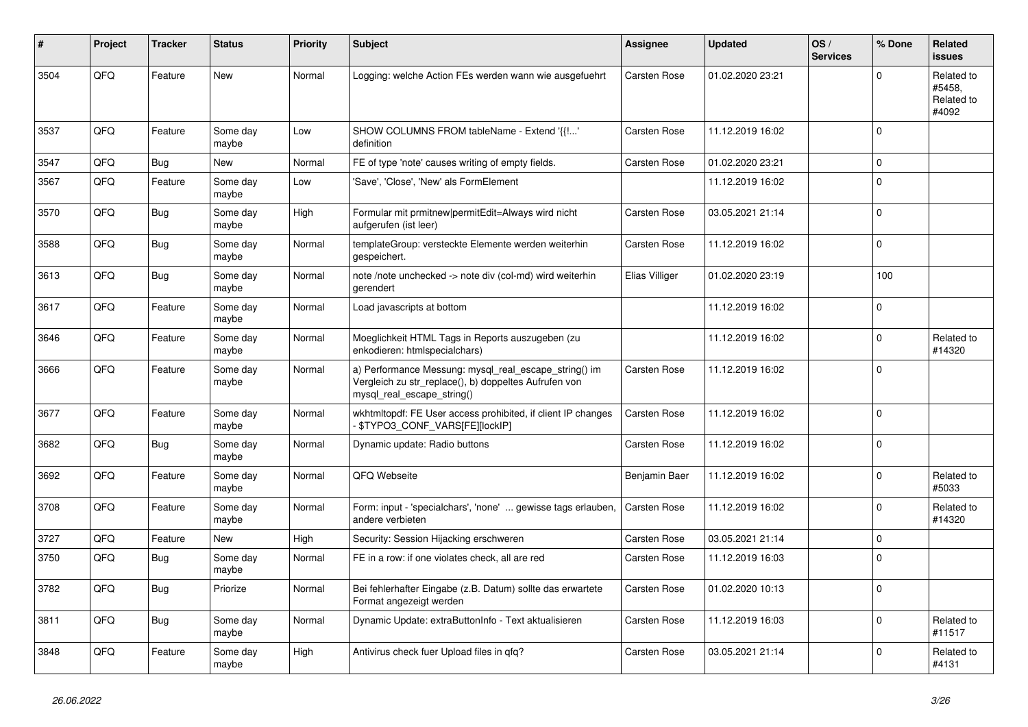| #    | <b>Project</b> | <b>Tracker</b> | <b>Status</b>     | <b>Priority</b> | <b>Subject</b>                                                                                                                               | Assignee            | <b>Updated</b>   | OS/<br><b>Services</b> | % Done       | Related<br>issues                           |
|------|----------------|----------------|-------------------|-----------------|----------------------------------------------------------------------------------------------------------------------------------------------|---------------------|------------------|------------------------|--------------|---------------------------------------------|
| 3504 | QFQ            | Feature        | New               | Normal          | Logging: welche Action FEs werden wann wie ausgefuehrt                                                                                       | Carsten Rose        | 01.02.2020 23:21 |                        | $\Omega$     | Related to<br>#5458,<br>Related to<br>#4092 |
| 3537 | QFQ            | Feature        | Some day<br>maybe | Low             | SHOW COLUMNS FROM tableName - Extend '{{!'<br>definition                                                                                     | <b>Carsten Rose</b> | 11.12.2019 16:02 |                        | $\Omega$     |                                             |
| 3547 | QFQ            | <b>Bug</b>     | New               | Normal          | FE of type 'note' causes writing of empty fields.                                                                                            | <b>Carsten Rose</b> | 01.02.2020 23:21 |                        | $\Omega$     |                                             |
| 3567 | QFQ            | Feature        | Some day<br>maybe | Low             | 'Save', 'Close', 'New' als FormElement                                                                                                       |                     | 11.12.2019 16:02 |                        | $\Omega$     |                                             |
| 3570 | QFQ            | <b>Bug</b>     | Some day<br>maybe | High            | Formular mit prmitnew permitEdit=Always wird nicht<br>aufgerufen (ist leer)                                                                  | Carsten Rose        | 03.05.2021 21:14 |                        | $\Omega$     |                                             |
| 3588 | QFQ            | Bug            | Some day<br>maybe | Normal          | templateGroup: versteckte Elemente werden weiterhin<br>gespeichert.                                                                          | Carsten Rose        | 11.12.2019 16:02 |                        | $\mathbf{0}$ |                                             |
| 3613 | QFQ            | Bug            | Some day<br>maybe | Normal          | note /note unchecked -> note div (col-md) wird weiterhin<br>gerendert                                                                        | Elias Villiger      | 01.02.2020 23:19 |                        | 100          |                                             |
| 3617 | QFQ            | Feature        | Some day<br>maybe | Normal          | Load javascripts at bottom                                                                                                                   |                     | 11.12.2019 16:02 |                        | $\Omega$     |                                             |
| 3646 | QFQ            | Feature        | Some day<br>maybe | Normal          | Moeglichkeit HTML Tags in Reports auszugeben (zu<br>enkodieren: htmlspecialchars)                                                            |                     | 11.12.2019 16:02 |                        | $\mathbf 0$  | Related to<br>#14320                        |
| 3666 | QFQ            | Feature        | Some day<br>maybe | Normal          | a) Performance Messung: mysql_real_escape_string() im<br>Vergleich zu str replace(), b) doppeltes Aufrufen von<br>mysql real escape string() | Carsten Rose        | 11.12.2019 16:02 |                        | $\mathbf{0}$ |                                             |
| 3677 | QFQ            | Feature        | Some day<br>maybe | Normal          | wkhtmltopdf: FE User access prohibited, if client IP changes<br>\$TYPO3_CONF_VARS[FE][lockIP]                                                | <b>Carsten Rose</b> | 11.12.2019 16:02 |                        | $\Omega$     |                                             |
| 3682 | QFQ            | <b>Bug</b>     | Some day<br>maybe | Normal          | Dynamic update: Radio buttons                                                                                                                | Carsten Rose        | 11.12.2019 16:02 |                        | $\Omega$     |                                             |
| 3692 | QFQ            | Feature        | Some day<br>maybe | Normal          | QFQ Webseite                                                                                                                                 | Benjamin Baer       | 11.12.2019 16:02 |                        | $\Omega$     | Related to<br>#5033                         |
| 3708 | QFQ            | Feature        | Some day<br>maybe | Normal          | Form: input - 'specialchars', 'none'  gewisse tags erlauben,<br>andere verbieten                                                             | Carsten Rose        | 11.12.2019 16:02 |                        | $\mathbf 0$  | Related to<br>#14320                        |
| 3727 | QFQ            | Feature        | <b>New</b>        | High            | Security: Session Hijacking erschweren                                                                                                       | Carsten Rose        | 03.05.2021 21:14 |                        | $\mathbf{0}$ |                                             |
| 3750 | QFQ            | <b>Bug</b>     | Some day<br>maybe | Normal          | FE in a row: if one violates check, all are red                                                                                              | Carsten Rose        | 11.12.2019 16:03 |                        | $\Omega$     |                                             |
| 3782 | QFQ            | Bug            | Priorize          | Normal          | Bei fehlerhafter Eingabe (z.B. Datum) sollte das erwartete<br>Format angezeigt werden                                                        | Carsten Rose        | 01.02.2020 10:13 |                        | $\Omega$     |                                             |
| 3811 | QFQ            | <b>Bug</b>     | Some day<br>maybe | Normal          | Dynamic Update: extraButtonInfo - Text aktualisieren                                                                                         | Carsten Rose        | 11.12.2019 16:03 |                        | $\Omega$     | Related to<br>#11517                        |
| 3848 | QFQ            | Feature        | Some day<br>maybe | High            | Antivirus check fuer Upload files in qfq?                                                                                                    | Carsten Rose        | 03.05.2021 21:14 |                        | $\Omega$     | Related to<br>#4131                         |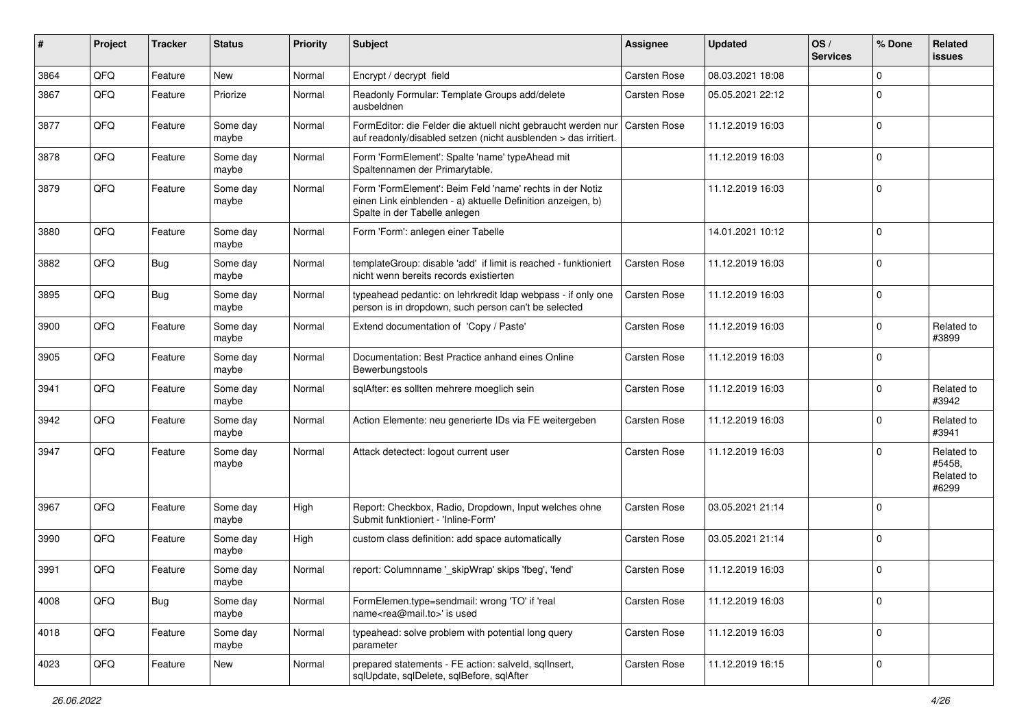| $\sharp$ | Project | <b>Tracker</b> | <b>Status</b>     | <b>Priority</b> | <b>Subject</b>                                                                                                                                           | <b>Assignee</b>     | <b>Updated</b>   | OS/<br><b>Services</b> | % Done      | Related<br>issues                           |
|----------|---------|----------------|-------------------|-----------------|----------------------------------------------------------------------------------------------------------------------------------------------------------|---------------------|------------------|------------------------|-------------|---------------------------------------------|
| 3864     | QFQ     | Feature        | <b>New</b>        | Normal          | Encrypt / decrypt field                                                                                                                                  | <b>Carsten Rose</b> | 08.03.2021 18:08 |                        | $\Omega$    |                                             |
| 3867     | QFQ     | Feature        | Priorize          | Normal          | Readonly Formular: Template Groups add/delete<br>ausbeldnen                                                                                              | Carsten Rose        | 05.05.2021 22:12 |                        | 0           |                                             |
| 3877     | QFQ     | Feature        | Some day<br>maybe | Normal          | FormEditor: die Felder die aktuell nicht gebraucht werden nur<br>auf readonly/disabled setzen (nicht ausblenden > das irritiert.                         | <b>Carsten Rose</b> | 11.12.2019 16:03 |                        | 0           |                                             |
| 3878     | QFQ     | Feature        | Some day<br>maybe | Normal          | Form 'FormElement': Spalte 'name' typeAhead mit<br>Spaltennamen der Primarytable.                                                                        |                     | 11.12.2019 16:03 |                        | $\Omega$    |                                             |
| 3879     | QFQ     | Feature        | Some day<br>maybe | Normal          | Form 'FormElement': Beim Feld 'name' rechts in der Notiz<br>einen Link einblenden - a) aktuelle Definition anzeigen, b)<br>Spalte in der Tabelle anlegen |                     | 11.12.2019 16:03 |                        | $\Omega$    |                                             |
| 3880     | QFQ     | Feature        | Some day<br>maybe | Normal          | Form 'Form': anlegen einer Tabelle                                                                                                                       |                     | 14.01.2021 10:12 |                        | $\Omega$    |                                             |
| 3882     | QFQ     | Bug            | Some day<br>maybe | Normal          | templateGroup: disable 'add' if limit is reached - funktioniert<br>nicht wenn bereits records existierten                                                | <b>Carsten Rose</b> | 11.12.2019 16:03 |                        | $\Omega$    |                                             |
| 3895     | QFQ     | <b>Bug</b>     | Some day<br>maybe | Normal          | typeahead pedantic: on lehrkredit Idap webpass - if only one<br>person is in dropdown, such person can't be selected                                     | <b>Carsten Rose</b> | 11.12.2019 16:03 |                        | $\Omega$    |                                             |
| 3900     | QFQ     | Feature        | Some day<br>maybe | Normal          | Extend documentation of 'Copy / Paste'                                                                                                                   | <b>Carsten Rose</b> | 11.12.2019 16:03 |                        | $\Omega$    | Related to<br>#3899                         |
| 3905     | QFQ     | Feature        | Some day<br>maybe | Normal          | Documentation: Best Practice anhand eines Online<br>Bewerbungstools                                                                                      | Carsten Rose        | 11.12.2019 16:03 |                        | $\Omega$    |                                             |
| 3941     | QFQ     | Feature        | Some day<br>maybe | Normal          | sqlAfter: es sollten mehrere moeglich sein                                                                                                               | Carsten Rose        | 11.12.2019 16:03 |                        | $\Omega$    | Related to<br>#3942                         |
| 3942     | QFQ     | Feature        | Some day<br>maybe | Normal          | Action Elemente: neu generierte IDs via FE weitergeben                                                                                                   | Carsten Rose        | 11.12.2019 16:03 |                        | 0           | Related to<br>#3941                         |
| 3947     | QFQ     | Feature        | Some day<br>maybe | Normal          | Attack detectect: logout current user                                                                                                                    | <b>Carsten Rose</b> | 11.12.2019 16:03 |                        | $\Omega$    | Related to<br>#5458,<br>Related to<br>#6299 |
| 3967     | QFQ     | Feature        | Some day<br>maybe | High            | Report: Checkbox, Radio, Dropdown, Input welches ohne<br>Submit funktioniert - 'Inline-Form'                                                             | Carsten Rose        | 03.05.2021 21:14 |                        | $\Omega$    |                                             |
| 3990     | QFQ     | Feature        | Some day<br>maybe | High            | custom class definition: add space automatically                                                                                                         | Carsten Rose        | 03.05.2021 21:14 |                        | $\Omega$    |                                             |
| 3991     | QFQ     | Feature        | Some day<br>maybe | Normal          | report: Columnname '_skipWrap' skips 'fbeg', 'fend'                                                                                                      | <b>Carsten Rose</b> | 11.12.2019 16:03 |                        | $\Omega$    |                                             |
| 4008     | QFQ     | Bug            | Some day<br>maybe | Normal          | FormElemen.type=sendmail: wrong 'TO' if 'real<br>name <rea@mail.to>' is used</rea@mail.to>                                                               | Carsten Rose        | 11.12.2019 16:03 |                        | $\mathbf 0$ |                                             |
| 4018     | QFQ     | Feature        | Some day<br>maybe | Normal          | typeahead: solve problem with potential long query<br>parameter                                                                                          | Carsten Rose        | 11.12.2019 16:03 |                        | $\mathbf 0$ |                                             |
| 4023     | QFQ     | Feature        | New               | Normal          | prepared statements - FE action: salveld, sqlInsert,<br>sqlUpdate, sqlDelete, sqlBefore, sqlAfter                                                        | Carsten Rose        | 11.12.2019 16:15 |                        | $\mathbf 0$ |                                             |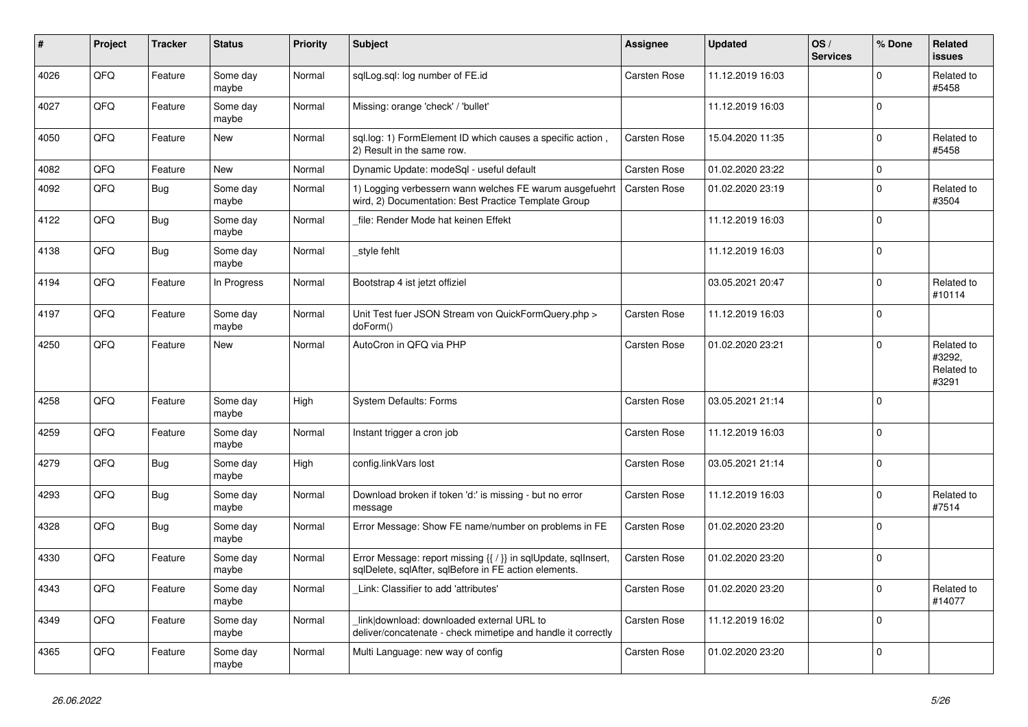| #    | Project | <b>Tracker</b> | <b>Status</b>     | <b>Priority</b> | <b>Subject</b>                                                                                                          | <b>Assignee</b>     | <b>Updated</b>   | OS/<br><b>Services</b> | % Done   | <b>Related</b><br>issues                    |
|------|---------|----------------|-------------------|-----------------|-------------------------------------------------------------------------------------------------------------------------|---------------------|------------------|------------------------|----------|---------------------------------------------|
| 4026 | QFQ     | Feature        | Some day<br>maybe | Normal          | sqlLog.sql: log number of FE.id                                                                                         | <b>Carsten Rose</b> | 11.12.2019 16:03 |                        | $\Omega$ | Related to<br>#5458                         |
| 4027 | QFQ     | Feature        | Some day<br>maybe | Normal          | Missing: orange 'check' / 'bullet'                                                                                      |                     | 11.12.2019 16:03 |                        | $\Omega$ |                                             |
| 4050 | QFQ     | Feature        | <b>New</b>        | Normal          | sgl.log: 1) FormElement ID which causes a specific action,<br>2) Result in the same row.                                | Carsten Rose        | 15.04.2020 11:35 |                        | $\Omega$ | Related to<br>#5458                         |
| 4082 | QFQ     | Feature        | <b>New</b>        | Normal          | Dynamic Update: modeSql - useful default                                                                                | <b>Carsten Rose</b> | 01.02.2020 23:22 |                        | $\Omega$ |                                             |
| 4092 | QFQ     | <b>Bug</b>     | Some day<br>maybe | Normal          | 1) Logging verbessern wann welches FE warum ausgefuehrt<br>wird, 2) Documentation: Best Practice Template Group         | <b>Carsten Rose</b> | 01.02.2020 23:19 |                        | $\Omega$ | Related to<br>#3504                         |
| 4122 | QFQ     | <b>Bug</b>     | Some day<br>maybe | Normal          | file: Render Mode hat keinen Effekt                                                                                     |                     | 11.12.2019 16:03 |                        | $\Omega$ |                                             |
| 4138 | QFQ     | Bug            | Some day<br>maybe | Normal          | style fehlt                                                                                                             |                     | 11.12.2019 16:03 |                        | $\Omega$ |                                             |
| 4194 | QFQ     | Feature        | In Progress       | Normal          | Bootstrap 4 ist jetzt offiziel                                                                                          |                     | 03.05.2021 20:47 |                        | $\Omega$ | Related to<br>#10114                        |
| 4197 | QFQ     | Feature        | Some day<br>maybe | Normal          | Unit Test fuer JSON Stream von QuickFormQuery.php ><br>doForm()                                                         | Carsten Rose        | 11.12.2019 16:03 |                        | $\Omega$ |                                             |
| 4250 | QFQ     | Feature        | New               | Normal          | AutoCron in QFQ via PHP                                                                                                 | Carsten Rose        | 01.02.2020 23:21 |                        | $\Omega$ | Related to<br>#3292.<br>Related to<br>#3291 |
| 4258 | QFQ     | Feature        | Some day<br>maybe | High            | <b>System Defaults: Forms</b>                                                                                           | Carsten Rose        | 03.05.2021 21:14 |                        | $\Omega$ |                                             |
| 4259 | QFQ     | Feature        | Some day<br>maybe | Normal          | Instant trigger a cron job                                                                                              | Carsten Rose        | 11.12.2019 16:03 |                        | $\Omega$ |                                             |
| 4279 | QFQ     | <b>Bug</b>     | Some day<br>maybe | High            | config.linkVars lost                                                                                                    | <b>Carsten Rose</b> | 03.05.2021 21:14 |                        | $\Omega$ |                                             |
| 4293 | QFQ     | Bug            | Some day<br>maybe | Normal          | Download broken if token 'd:' is missing - but no error<br>message                                                      | Carsten Rose        | 11.12.2019 16:03 |                        | $\Omega$ | Related to<br>#7514                         |
| 4328 | QFQ     | <b>Bug</b>     | Some day<br>maybe | Normal          | Error Message: Show FE name/number on problems in FE                                                                    | <b>Carsten Rose</b> | 01.02.2020 23:20 |                        | $\Omega$ |                                             |
| 4330 | QFQ     | Feature        | Some day<br>maybe | Normal          | Error Message: report missing {{ / }} in sqlUpdate, sqlInsert,<br>sqlDelete, sqlAfter, sqlBefore in FE action elements. | <b>Carsten Rose</b> | 01.02.2020 23:20 |                        | $\Omega$ |                                             |
| 4343 | QFQ     | Feature        | Some day<br>maybe | Normal          | Link: Classifier to add 'attributes'                                                                                    | Carsten Rose        | 01.02.2020 23:20 |                        | $\Omega$ | Related to<br>#14077                        |
| 4349 | QFQ     | Feature        | Some day<br>maybe | Normal          | link download: downloaded external URL to<br>deliver/concatenate - check mimetipe and handle it correctly               | <b>Carsten Rose</b> | 11.12.2019 16:02 |                        | $\Omega$ |                                             |
| 4365 | QFQ     | Feature        | Some day<br>maybe | Normal          | Multi Language: new way of config                                                                                       | Carsten Rose        | 01.02.2020 23:20 |                        | $\Omega$ |                                             |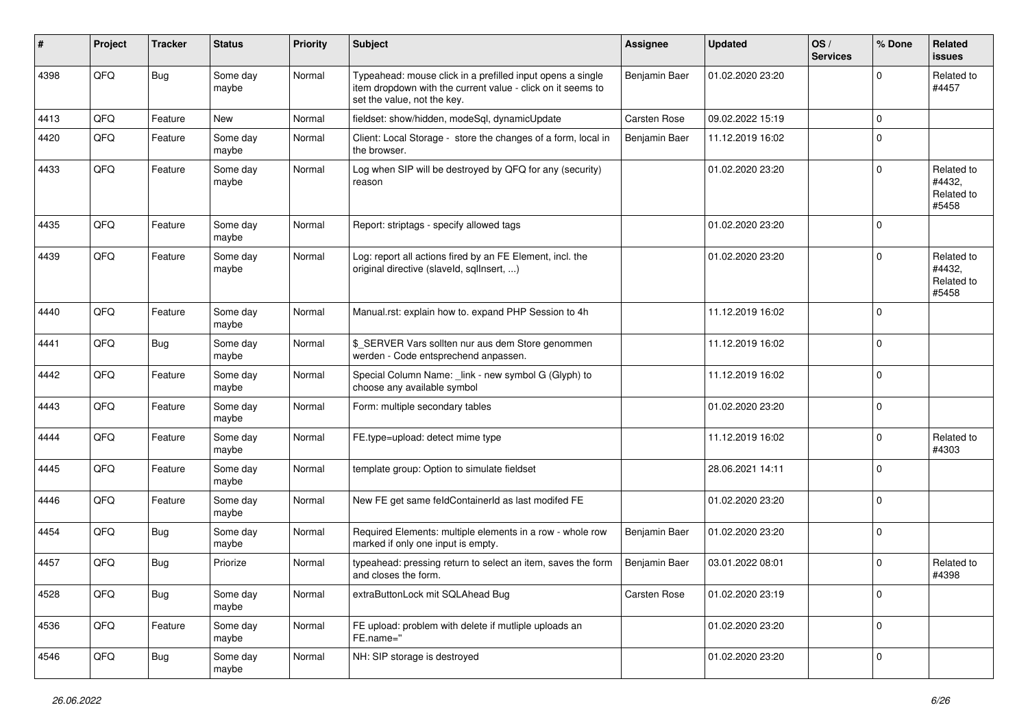| #    | Project | <b>Tracker</b> | <b>Status</b>     | <b>Priority</b> | Subject                                                                                                                                                  | <b>Assignee</b>      | <b>Updated</b>   | OS/<br><b>Services</b> | % Done       | Related<br>issues                           |
|------|---------|----------------|-------------------|-----------------|----------------------------------------------------------------------------------------------------------------------------------------------------------|----------------------|------------------|------------------------|--------------|---------------------------------------------|
| 4398 | QFQ     | Bug            | Some day<br>maybe | Normal          | Typeahead: mouse click in a prefilled input opens a single<br>item dropdown with the current value - click on it seems to<br>set the value, not the key. | <b>Benjamin Baer</b> | 01.02.2020 23:20 |                        | <sup>0</sup> | Related to<br>#4457                         |
| 4413 | QFQ     | Feature        | New               | Normal          | fieldset: show/hidden, modeSql, dynamicUpdate                                                                                                            | Carsten Rose         | 09.02.2022 15:19 |                        | $\mathbf 0$  |                                             |
| 4420 | QFQ     | Feature        | Some day<br>maybe | Normal          | Client: Local Storage - store the changes of a form, local in<br>the browser.                                                                            | Benjamin Baer        | 11.12.2019 16:02 |                        | $\Omega$     |                                             |
| 4433 | QFQ     | Feature        | Some day<br>maybe | Normal          | Log when SIP will be destroyed by QFQ for any (security)<br>reason                                                                                       |                      | 01.02.2020 23:20 |                        | $\Omega$     | Related to<br>#4432,<br>Related to<br>#5458 |
| 4435 | QFQ     | Feature        | Some day<br>maybe | Normal          | Report: striptags - specify allowed tags                                                                                                                 |                      | 01.02.2020 23:20 |                        | $\Omega$     |                                             |
| 4439 | QFQ     | Feature        | Some day<br>maybe | Normal          | Log: report all actions fired by an FE Element, incl. the<br>original directive (slaveld, sqllnsert, )                                                   |                      | 01.02.2020 23:20 |                        | $\Omega$     | Related to<br>#4432,<br>Related to<br>#5458 |
| 4440 | QFQ     | Feature        | Some day<br>maybe | Normal          | Manual.rst: explain how to. expand PHP Session to 4h                                                                                                     |                      | 11.12.2019 16:02 |                        | $\Omega$     |                                             |
| 4441 | QFQ     | <b>Bug</b>     | Some day<br>maybe | Normal          | \$_SERVER Vars sollten nur aus dem Store genommen<br>werden - Code entsprechend anpassen.                                                                |                      | 11.12.2019 16:02 |                        | $\Omega$     |                                             |
| 4442 | QFQ     | Feature        | Some day<br>maybe | Normal          | Special Column Name: _link - new symbol G (Glyph) to<br>choose any available symbol                                                                      |                      | 11.12.2019 16:02 |                        | $\Omega$     |                                             |
| 4443 | QFQ     | Feature        | Some day<br>maybe | Normal          | Form: multiple secondary tables                                                                                                                          |                      | 01.02.2020 23:20 |                        | $\Omega$     |                                             |
| 4444 | QFQ     | Feature        | Some day<br>maybe | Normal          | FE.type=upload: detect mime type                                                                                                                         |                      | 11.12.2019 16:02 |                        | $\Omega$     | Related to<br>#4303                         |
| 4445 | QFQ     | Feature        | Some day<br>maybe | Normal          | template group: Option to simulate fieldset                                                                                                              |                      | 28.06.2021 14:11 |                        | $\Omega$     |                                             |
| 4446 | QFQ     | Feature        | Some day<br>maybe | Normal          | New FE get same feldContainerId as last modifed FE                                                                                                       |                      | 01.02.2020 23:20 |                        | 0            |                                             |
| 4454 | QFQ     | <b>Bug</b>     | Some day<br>maybe | Normal          | Required Elements: multiple elements in a row - whole row<br>marked if only one input is empty.                                                          | Benjamin Baer        | 01.02.2020 23:20 |                        | $\mathbf 0$  |                                             |
| 4457 | QFQ     | Bug            | Priorize          | Normal          | typeahead: pressing return to select an item, saves the form<br>and closes the form.                                                                     | Benjamin Baer        | 03.01.2022 08:01 |                        | $\Omega$     | Related to<br>#4398                         |
| 4528 | QFO     | <b>Bug</b>     | Some day<br>maybe | Normal          | extraButtonLock mit SQLAhead Bug                                                                                                                         | Carsten Rose         | 01.02.2020 23:19 |                        | $\mathbf 0$  |                                             |
| 4536 | QFQ     | Feature        | Some day<br>maybe | Normal          | FE upload: problem with delete if mutliple uploads an<br>FE.name="                                                                                       |                      | 01.02.2020 23:20 |                        | $\mathbf 0$  |                                             |
| 4546 | QFO     | <b>Bug</b>     | Some day<br>maybe | Normal          | NH: SIP storage is destroyed                                                                                                                             |                      | 01.02.2020 23:20 |                        | $\mathbf 0$  |                                             |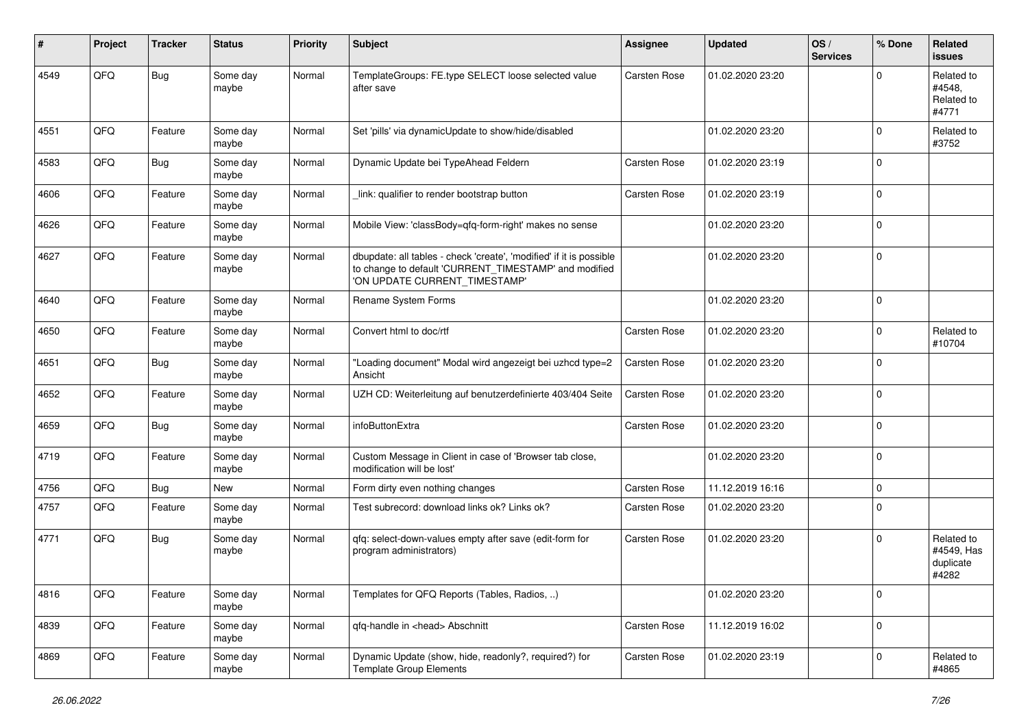| ∦    | Project | <b>Tracker</b> | <b>Status</b>     | <b>Priority</b> | Subject                                                                                                                                                       | <b>Assignee</b>     | <b>Updated</b>   | OS/<br><b>Services</b> | % Done      | Related<br><b>issues</b>                       |
|------|---------|----------------|-------------------|-----------------|---------------------------------------------------------------------------------------------------------------------------------------------------------------|---------------------|------------------|------------------------|-------------|------------------------------------------------|
| 4549 | QFQ     | <b>Bug</b>     | Some day<br>maybe | Normal          | TemplateGroups: FE.type SELECT loose selected value<br>after save                                                                                             | <b>Carsten Rose</b> | 01.02.2020 23:20 |                        | $\Omega$    | Related to<br>#4548,<br>Related to<br>#4771    |
| 4551 | QFQ     | Feature        | Some day<br>maybe | Normal          | Set 'pills' via dynamicUpdate to show/hide/disabled                                                                                                           |                     | 01.02.2020 23:20 |                        | $\Omega$    | Related to<br>#3752                            |
| 4583 | QFQ     | <b>Bug</b>     | Some day<br>maybe | Normal          | Dynamic Update bei TypeAhead Feldern                                                                                                                          | <b>Carsten Rose</b> | 01.02.2020 23:19 |                        | $\Omega$    |                                                |
| 4606 | QFQ     | Feature        | Some day<br>maybe | Normal          | link: qualifier to render bootstrap button                                                                                                                    | <b>Carsten Rose</b> | 01.02.2020 23:19 |                        | $\mathbf 0$ |                                                |
| 4626 | QFQ     | Feature        | Some day<br>maybe | Normal          | Mobile View: 'classBody=qfq-form-right' makes no sense                                                                                                        |                     | 01.02.2020 23:20 |                        | $\Omega$    |                                                |
| 4627 | QFQ     | Feature        | Some day<br>maybe | Normal          | dbupdate: all tables - check 'create', 'modified' if it is possible<br>to change to default 'CURRENT_TIMESTAMP' and modified<br>'ON UPDATE CURRENT_TIMESTAMP' |                     | 01.02.2020 23:20 |                        | $\Omega$    |                                                |
| 4640 | QFQ     | Feature        | Some day<br>maybe | Normal          | Rename System Forms                                                                                                                                           |                     | 01.02.2020 23:20 |                        | $\Omega$    |                                                |
| 4650 | QFQ     | Feature        | Some day<br>maybe | Normal          | Convert html to doc/rtf                                                                                                                                       | Carsten Rose        | 01.02.2020 23:20 |                        | $\Omega$    | Related to<br>#10704                           |
| 4651 | QFQ     | <b>Bug</b>     | Some day<br>maybe | Normal          | "Loading document" Modal wird angezeigt bei uzhcd type=2<br>Ansicht                                                                                           | <b>Carsten Rose</b> | 01.02.2020 23:20 |                        | $\Omega$    |                                                |
| 4652 | QFQ     | Feature        | Some day<br>maybe | Normal          | UZH CD: Weiterleitung auf benutzerdefinierte 403/404 Seite                                                                                                    | <b>Carsten Rose</b> | 01.02.2020 23:20 |                        | $\Omega$    |                                                |
| 4659 | QFQ     | <b>Bug</b>     | Some day<br>maybe | Normal          | infoButtonExtra                                                                                                                                               | <b>Carsten Rose</b> | 01.02.2020 23:20 |                        | $\mathbf 0$ |                                                |
| 4719 | QFQ     | Feature        | Some day<br>maybe | Normal          | Custom Message in Client in case of 'Browser tab close,<br>modification will be lost'                                                                         |                     | 01.02.2020 23:20 |                        | $\mathbf 0$ |                                                |
| 4756 | QFQ     | <b>Bug</b>     | New               | Normal          | Form dirty even nothing changes                                                                                                                               | <b>Carsten Rose</b> | 11.12.2019 16:16 |                        | $\mathbf 0$ |                                                |
| 4757 | QFQ     | Feature        | Some day<br>maybe | Normal          | Test subrecord: download links ok? Links ok?                                                                                                                  | <b>Carsten Rose</b> | 01.02.2020 23:20 |                        | $\Omega$    |                                                |
| 4771 | QFQ     | <b>Bug</b>     | Some day<br>maybe | Normal          | qfq: select-down-values empty after save (edit-form for<br>program administrators)                                                                            | <b>Carsten Rose</b> | 01.02.2020 23:20 |                        | $\Omega$    | Related to<br>#4549, Has<br>duplicate<br>#4282 |
| 4816 | QFQ     | Feature        | Some day<br>maybe | Normal          | Templates for QFQ Reports (Tables, Radios, )                                                                                                                  |                     | 01.02.2020 23:20 |                        | l 0         |                                                |
| 4839 | QFO     | Feature        | Some day<br>maybe | Normal          | qfq-handle in <head> Abschnitt</head>                                                                                                                         | Carsten Rose        | 11.12.2019 16:02 |                        | $\mathbf 0$ |                                                |
| 4869 | QFO     | Feature        | Some day<br>maybe | Normal          | Dynamic Update (show, hide, readonly?, required?) for<br><b>Template Group Elements</b>                                                                       | Carsten Rose        | 01.02.2020 23:19 |                        | $\mathbf 0$ | Related to<br>#4865                            |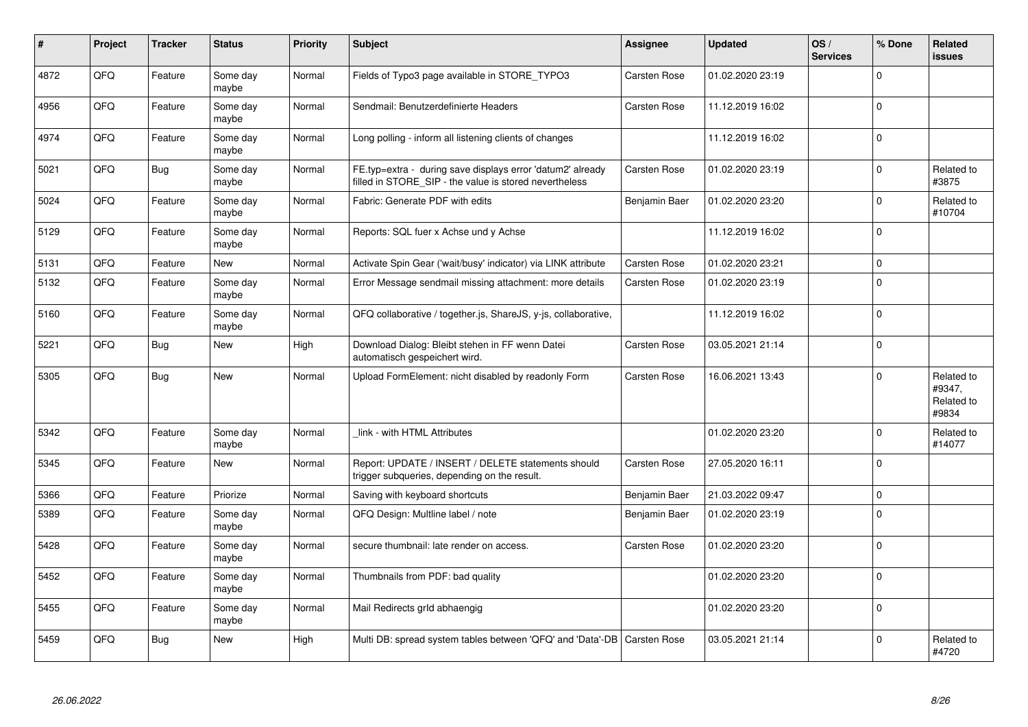| #    | Project | <b>Tracker</b> | <b>Status</b>     | <b>Priority</b> | <b>Subject</b>                                                                                                       | <b>Assignee</b>     | <b>Updated</b>   | OS/<br><b>Services</b> | % Done       | Related<br><b>issues</b>                    |
|------|---------|----------------|-------------------|-----------------|----------------------------------------------------------------------------------------------------------------------|---------------------|------------------|------------------------|--------------|---------------------------------------------|
| 4872 | QFQ     | Feature        | Some day<br>maybe | Normal          | Fields of Typo3 page available in STORE TYPO3                                                                        | <b>Carsten Rose</b> | 01.02.2020 23:19 |                        | $\mathbf{0}$ |                                             |
| 4956 | QFQ     | Feature        | Some day<br>maybe | Normal          | Sendmail: Benutzerdefinierte Headers                                                                                 | <b>Carsten Rose</b> | 11.12.2019 16:02 |                        | $\Omega$     |                                             |
| 4974 | QFQ     | Feature        | Some day<br>maybe | Normal          | Long polling - inform all listening clients of changes                                                               |                     | 11.12.2019 16:02 |                        | 0            |                                             |
| 5021 | QFQ     | <b>Bug</b>     | Some day<br>maybe | Normal          | FE.typ=extra - during save displays error 'datum2' already<br>filled in STORE SIP - the value is stored nevertheless | <b>Carsten Rose</b> | 01.02.2020 23:19 |                        | $\Omega$     | Related to<br>#3875                         |
| 5024 | QFQ     | Feature        | Some day<br>maybe | Normal          | Fabric: Generate PDF with edits                                                                                      | Benjamin Baer       | 01.02.2020 23:20 |                        | $\mathbf{0}$ | Related to<br>#10704                        |
| 5129 | QFQ     | Feature        | Some day<br>maybe | Normal          | Reports: SQL fuer x Achse und y Achse                                                                                |                     | 11.12.2019 16:02 |                        | $\Omega$     |                                             |
| 5131 | QFQ     | Feature        | New               | Normal          | Activate Spin Gear ('wait/busy' indicator) via LINK attribute                                                        | <b>Carsten Rose</b> | 01.02.2020 23:21 |                        | $\Omega$     |                                             |
| 5132 | QFQ     | Feature        | Some day<br>maybe | Normal          | Error Message sendmail missing attachment: more details                                                              | Carsten Rose        | 01.02.2020 23:19 |                        | $\Omega$     |                                             |
| 5160 | QFQ     | Feature        | Some day<br>maybe | Normal          | QFQ collaborative / together.js, ShareJS, y-js, collaborative,                                                       |                     | 11.12.2019 16:02 |                        | l n          |                                             |
| 5221 | QFQ     | <b>Bug</b>     | New               | High            | Download Dialog: Bleibt stehen in FF wenn Datei<br>automatisch gespeichert wird.                                     | <b>Carsten Rose</b> | 03.05.2021 21:14 |                        | $\Omega$     |                                             |
| 5305 | QFQ     | <b>Bug</b>     | <b>New</b>        | Normal          | Upload FormElement: nicht disabled by readonly Form                                                                  | <b>Carsten Rose</b> | 16.06.2021 13:43 |                        | $\mathbf{0}$ | Related to<br>#9347,<br>Related to<br>#9834 |
| 5342 | QFQ     | Feature        | Some day<br>maybe | Normal          | link - with HTML Attributes                                                                                          |                     | 01.02.2020 23:20 |                        | $\Omega$     | Related to<br>#14077                        |
| 5345 | QFQ     | Feature        | <b>New</b>        | Normal          | Report: UPDATE / INSERT / DELETE statements should<br>trigger subqueries, depending on the result.                   | Carsten Rose        | 27.05.2020 16:11 |                        | $\Omega$     |                                             |
| 5366 | QFQ     | Feature        | Priorize          | Normal          | Saving with keyboard shortcuts                                                                                       | Benjamin Baer       | 21.03.2022 09:47 |                        | $\mathbf 0$  |                                             |
| 5389 | QFQ     | Feature        | Some day<br>maybe | Normal          | QFQ Design: Multline label / note                                                                                    | Benjamin Baer       | 01.02.2020 23:19 |                        | $\Omega$     |                                             |
| 5428 | QFQ     | Feature        | Some day<br>maybe | Normal          | secure thumbnail: late render on access.                                                                             | Carsten Rose        | 01.02.2020 23:20 |                        | $\Omega$     |                                             |
| 5452 | QFQ     | Feature        | Some day<br>maybe | Normal          | Thumbnails from PDF: bad quality                                                                                     |                     | 01.02.2020 23:20 |                        | $\Omega$     |                                             |
| 5455 | QFQ     | Feature        | Some day<br>maybe | Normal          | Mail Redirects grld abhaengig                                                                                        |                     | 01.02.2020 23:20 |                        | $\Omega$     |                                             |
| 5459 | QFQ     | <b>Bug</b>     | New               | High            | Multi DB: spread system tables between 'QFQ' and 'Data'-DB                                                           | <b>Carsten Rose</b> | 03.05.2021 21:14 |                        | $\Omega$     | Related to<br>#4720                         |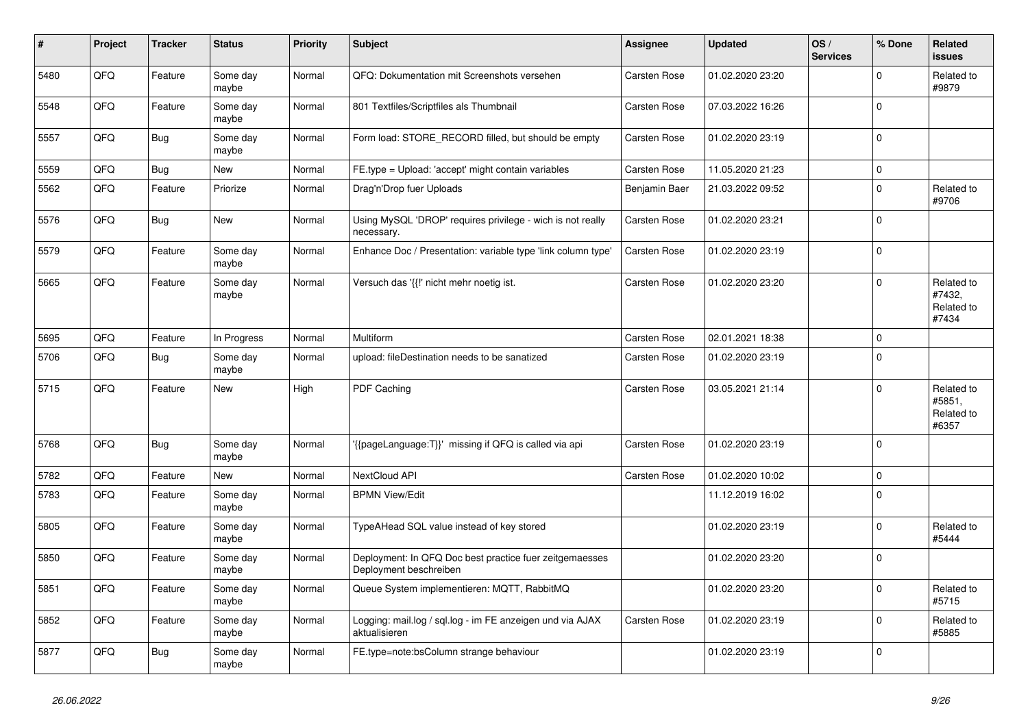| #    | Project | <b>Tracker</b> | <b>Status</b>     | <b>Priority</b> | <b>Subject</b>                                                                    | <b>Assignee</b>     | <b>Updated</b>   | OS/<br><b>Services</b> | % Done       | Related<br><b>issues</b>                    |
|------|---------|----------------|-------------------|-----------------|-----------------------------------------------------------------------------------|---------------------|------------------|------------------------|--------------|---------------------------------------------|
| 5480 | QFQ     | Feature        | Some day<br>maybe | Normal          | QFQ: Dokumentation mit Screenshots versehen                                       | Carsten Rose        | 01.02.2020 23:20 |                        | $\Omega$     | Related to<br>#9879                         |
| 5548 | QFQ     | Feature        | Some day<br>maybe | Normal          | 801 Textfiles/Scriptfiles als Thumbnail                                           | Carsten Rose        | 07.03.2022 16:26 |                        | $\Omega$     |                                             |
| 5557 | QFQ     | <b>Bug</b>     | Some day<br>maybe | Normal          | Form load: STORE_RECORD filled, but should be empty                               | Carsten Rose        | 01.02.2020 23:19 |                        | $\Omega$     |                                             |
| 5559 | QFQ     | <b>Bug</b>     | New               | Normal          | FE.type = Upload: 'accept' might contain variables                                | <b>Carsten Rose</b> | 11.05.2020 21:23 |                        | 0            |                                             |
| 5562 | QFQ     | Feature        | Priorize          | Normal          | Drag'n'Drop fuer Uploads                                                          | Benjamin Baer       | 21.03.2022 09:52 |                        | $\Omega$     | Related to<br>#9706                         |
| 5576 | QFQ     | <b>Bug</b>     | New               | Normal          | Using MySQL 'DROP' requires privilege - wich is not really<br>necessary.          | <b>Carsten Rose</b> | 01.02.2020 23:21 |                        | $\mathbf{0}$ |                                             |
| 5579 | QFQ     | Feature        | Some day<br>maybe | Normal          | Enhance Doc / Presentation: variable type 'link column type'                      | <b>Carsten Rose</b> | 01.02.2020 23:19 |                        | $\mathbf 0$  |                                             |
| 5665 | QFQ     | Feature        | Some day<br>maybe | Normal          | Versuch das '{{!' nicht mehr noetig ist.                                          | Carsten Rose        | 01.02.2020 23:20 |                        | $\Omega$     | Related to<br>#7432.<br>Related to<br>#7434 |
| 5695 | QFQ     | Feature        | In Progress       | Normal          | Multiform                                                                         | <b>Carsten Rose</b> | 02.01.2021 18:38 |                        | $\mathbf 0$  |                                             |
| 5706 | QFQ     | <b>Bug</b>     | Some day<br>maybe | Normal          | upload: fileDestination needs to be sanatized                                     | <b>Carsten Rose</b> | 01.02.2020 23:19 |                        | $\Omega$     |                                             |
| 5715 | QFQ     | Feature        | <b>New</b>        | High            | <b>PDF Caching</b>                                                                | Carsten Rose        | 03.05.2021 21:14 |                        | $\Omega$     | Related to<br>#5851,<br>Related to<br>#6357 |
| 5768 | QFQ     | <b>Bug</b>     | Some day<br>maybe | Normal          | '{{pageLanguage:T}}' missing if QFQ is called via api                             | Carsten Rose        | 01.02.2020 23:19 |                        | $\Omega$     |                                             |
| 5782 | QFQ     | Feature        | New               | Normal          | NextCloud API                                                                     | <b>Carsten Rose</b> | 01.02.2020 10:02 |                        | $\mathbf 0$  |                                             |
| 5783 | QFQ     | Feature        | Some day<br>maybe | Normal          | <b>BPMN View/Edit</b>                                                             |                     | 11.12.2019 16:02 |                        | $\Omega$     |                                             |
| 5805 | QFQ     | Feature        | Some day<br>maybe | Normal          | TypeAHead SQL value instead of key stored                                         |                     | 01.02.2020 23:19 |                        | $\mathbf 0$  | Related to<br>#5444                         |
| 5850 | QFQ     | Feature        | Some day<br>maybe | Normal          | Deployment: In QFQ Doc best practice fuer zeitgemaesses<br>Deployment beschreiben |                     | 01.02.2020 23:20 |                        | 0            |                                             |
| 5851 | QFQ     | Feature        | Some day<br>maybe | Normal          | Queue System implementieren: MQTT, RabbitMQ                                       |                     | 01.02.2020 23:20 |                        | $\Omega$     | Related to<br>#5715                         |
| 5852 | QFQ     | Feature        | Some day<br>maybe | Normal          | Logging: mail.log / sql.log - im FE anzeigen und via AJAX<br>aktualisieren        | Carsten Rose        | 01.02.2020 23:19 |                        | $\Omega$     | Related to<br>#5885                         |
| 5877 | QFQ     | <b>Bug</b>     | Some day<br>maybe | Normal          | FE.type=note:bsColumn strange behaviour                                           |                     | 01.02.2020 23:19 |                        | $\Omega$     |                                             |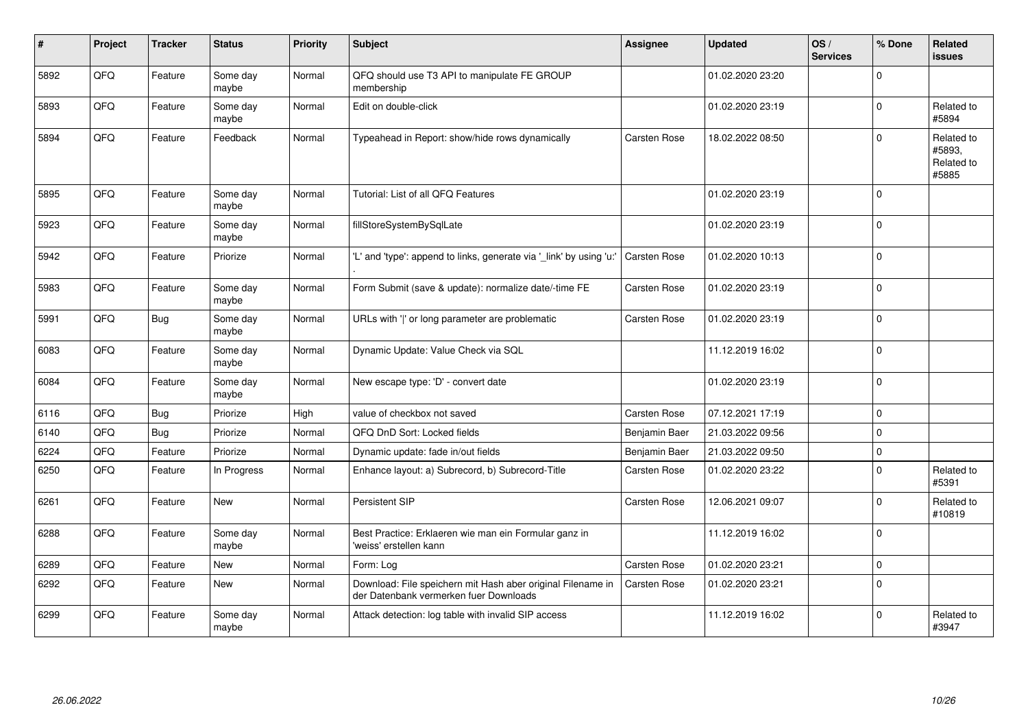| $\vert$ # | Project | <b>Tracker</b> | <b>Status</b>     | Priority | <b>Subject</b>                                                                                        | <b>Assignee</b>     | <b>Updated</b>   | OS/<br><b>Services</b> | % Done       | <b>Related</b><br><b>issues</b>             |
|-----------|---------|----------------|-------------------|----------|-------------------------------------------------------------------------------------------------------|---------------------|------------------|------------------------|--------------|---------------------------------------------|
| 5892      | QFQ     | Feature        | Some day<br>maybe | Normal   | QFQ should use T3 API to manipulate FE GROUP<br>membership                                            |                     | 01.02.2020 23:20 |                        | $\Omega$     |                                             |
| 5893      | QFQ     | Feature        | Some day<br>maybe | Normal   | Edit on double-click                                                                                  |                     | 01.02.2020 23:19 |                        | $\Omega$     | Related to<br>#5894                         |
| 5894      | QFQ     | Feature        | Feedback          | Normal   | Typeahead in Report: show/hide rows dynamically                                                       | Carsten Rose        | 18.02.2022 08:50 |                        | $\mathbf 0$  | Related to<br>#5893,<br>Related to<br>#5885 |
| 5895      | QFQ     | Feature        | Some day<br>maybe | Normal   | Tutorial: List of all QFQ Features                                                                    |                     | 01.02.2020 23:19 |                        | $\mathbf 0$  |                                             |
| 5923      | QFQ     | Feature        | Some day<br>maybe | Normal   | fillStoreSystemBySqlLate                                                                              |                     | 01.02.2020 23:19 |                        | $\Omega$     |                                             |
| 5942      | QFQ     | Feature        | Priorize          | Normal   | "L' and 'type': append to links, generate via ' link' by using 'u:"                                   | Carsten Rose        | 01.02.2020 10:13 |                        | $\mathbf 0$  |                                             |
| 5983      | QFQ     | Feature        | Some day<br>maybe | Normal   | Form Submit (save & update): normalize date/-time FE                                                  | Carsten Rose        | 01.02.2020 23:19 |                        | $\Omega$     |                                             |
| 5991      | QFQ     | <b>Bug</b>     | Some day<br>maybe | Normal   | URLs with ' ' or long parameter are problematic                                                       | Carsten Rose        | 01.02.2020 23:19 |                        | $\mathbf 0$  |                                             |
| 6083      | QFQ     | Feature        | Some day<br>maybe | Normal   | Dynamic Update: Value Check via SQL                                                                   |                     | 11.12.2019 16:02 |                        | $\Omega$     |                                             |
| 6084      | QFQ     | Feature        | Some day<br>maybe | Normal   | New escape type: 'D' - convert date                                                                   |                     | 01.02.2020 23:19 |                        | $\mathbf 0$  |                                             |
| 6116      | QFQ     | <b>Bug</b>     | Priorize          | High     | value of checkbox not saved                                                                           | <b>Carsten Rose</b> | 07.12.2021 17:19 |                        | $\mathbf 0$  |                                             |
| 6140      | QFQ     | <b>Bug</b>     | Priorize          | Normal   | QFQ DnD Sort: Locked fields                                                                           | Benjamin Baer       | 21.03.2022 09:56 |                        | $\mathbf 0$  |                                             |
| 6224      | QFQ     | Feature        | Priorize          | Normal   | Dynamic update: fade in/out fields                                                                    | Benjamin Baer       | 21.03.2022 09:50 |                        | $\mathbf{0}$ |                                             |
| 6250      | QFQ     | Feature        | In Progress       | Normal   | Enhance layout: a) Subrecord, b) Subrecord-Title                                                      | Carsten Rose        | 01.02.2020 23:22 |                        | $\Omega$     | Related to<br>#5391                         |
| 6261      | QFQ     | Feature        | New               | Normal   | Persistent SIP                                                                                        | Carsten Rose        | 12.06.2021 09:07 |                        | $\Omega$     | Related to<br>#10819                        |
| 6288      | QFQ     | Feature        | Some day<br>maybe | Normal   | Best Practice: Erklaeren wie man ein Formular ganz in<br>'weiss' erstellen kann                       |                     | 11.12.2019 16:02 |                        | 0            |                                             |
| 6289      | QFQ     | Feature        | <b>New</b>        | Normal   | Form: Log                                                                                             | Carsten Rose        | 01.02.2020 23:21 |                        | $\mathbf{0}$ |                                             |
| 6292      | QFQ     | Feature        | New               | Normal   | Download: File speichern mit Hash aber original Filename in<br>der Datenbank vermerken fuer Downloads | <b>Carsten Rose</b> | 01.02.2020 23:21 |                        | $\mathbf 0$  |                                             |
| 6299      | QFQ     | Feature        | Some day<br>maybe | Normal   | Attack detection: log table with invalid SIP access                                                   |                     | 11.12.2019 16:02 |                        | $\Omega$     | Related to<br>#3947                         |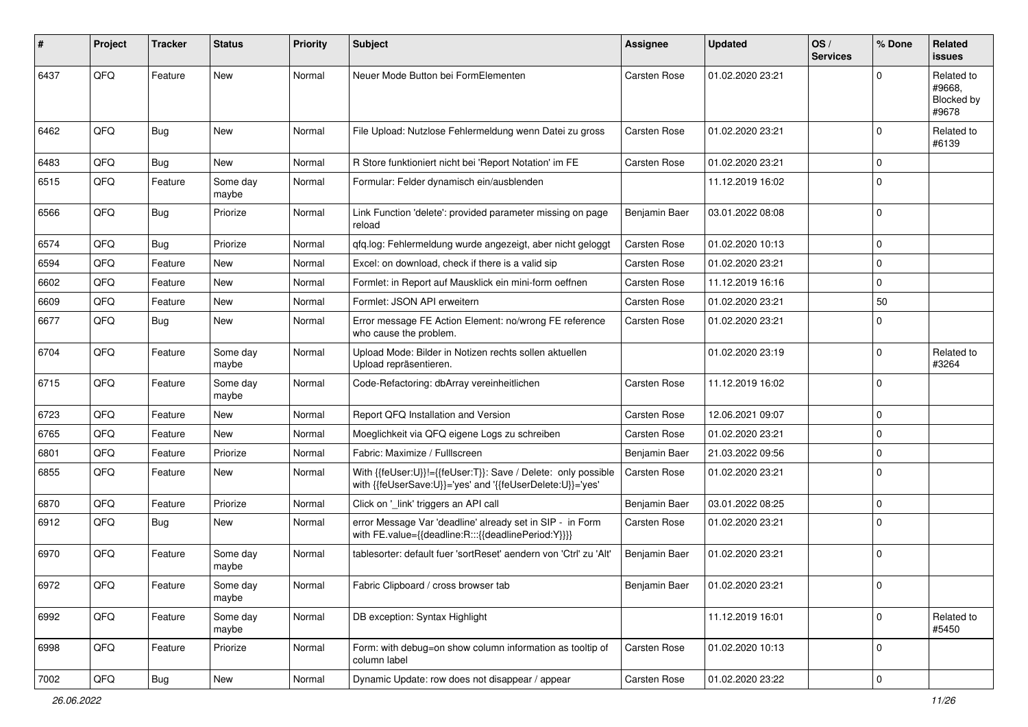| #    | Project    | <b>Tracker</b> | <b>Status</b>     | <b>Priority</b> | <b>Subject</b>                                                                                                             | <b>Assignee</b>     | <b>Updated</b>   | OS/<br><b>Services</b> | % Done       | Related<br><b>issues</b>                    |
|------|------------|----------------|-------------------|-----------------|----------------------------------------------------------------------------------------------------------------------------|---------------------|------------------|------------------------|--------------|---------------------------------------------|
| 6437 | QFQ        | Feature        | New               | Normal          | Neuer Mode Button bei FormElementen                                                                                        | <b>Carsten Rose</b> | 01.02.2020 23:21 |                        | <sup>0</sup> | Related to<br>#9668.<br>Blocked by<br>#9678 |
| 6462 | QFQ        | <b>Bug</b>     | New               | Normal          | File Upload: Nutzlose Fehlermeldung wenn Datei zu gross                                                                    | <b>Carsten Rose</b> | 01.02.2020 23:21 |                        | $\Omega$     | Related to<br>#6139                         |
| 6483 | QFQ        | Bug            | <b>New</b>        | Normal          | R Store funktioniert nicht bei 'Report Notation' im FE                                                                     | <b>Carsten Rose</b> | 01.02.2020 23:21 |                        | $\mathbf 0$  |                                             |
| 6515 | QFQ        | Feature        | Some day<br>maybe | Normal          | Formular: Felder dynamisch ein/ausblenden                                                                                  |                     | 11.12.2019 16:02 |                        | $\Omega$     |                                             |
| 6566 | QFQ        | Bug            | Priorize          | Normal          | Link Function 'delete': provided parameter missing on page<br>reload                                                       | Benjamin Baer       | 03.01.2022 08:08 |                        | l 0          |                                             |
| 6574 | QFQ        | <b>Bug</b>     | Priorize          | Normal          | qfq.log: Fehlermeldung wurde angezeigt, aber nicht geloggt                                                                 | <b>Carsten Rose</b> | 01.02.2020 10:13 |                        | $\mathbf 0$  |                                             |
| 6594 | QFQ        | Feature        | New               | Normal          | Excel: on download, check if there is a valid sip                                                                          | <b>Carsten Rose</b> | 01.02.2020 23:21 |                        | $\mathbf 0$  |                                             |
| 6602 | QFQ        | Feature        | New               | Normal          | Formlet: in Report auf Mausklick ein mini-form oeffnen                                                                     | <b>Carsten Rose</b> | 11.12.2019 16:16 |                        | $\mathbf 0$  |                                             |
| 6609 | QFQ        | Feature        | <b>New</b>        | Normal          | Formlet: JSON API erweitern                                                                                                | <b>Carsten Rose</b> | 01.02.2020 23:21 |                        | 50           |                                             |
| 6677 | QFQ        | Bug            | New               | Normal          | Error message FE Action Element: no/wrong FE reference<br>who cause the problem.                                           | Carsten Rose        | 01.02.2020 23:21 |                        | $\Omega$     |                                             |
| 6704 | QFQ        | Feature        | Some day<br>maybe | Normal          | Upload Mode: Bilder in Notizen rechts sollen aktuellen<br>Upload repräsentieren.                                           |                     | 01.02.2020 23:19 |                        | $\mathbf 0$  | Related to<br>#3264                         |
| 6715 | QFQ        | Feature        | Some day<br>maybe | Normal          | Code-Refactoring: dbArray vereinheitlichen                                                                                 | <b>Carsten Rose</b> | 11.12.2019 16:02 |                        | l 0          |                                             |
| 6723 | QFQ        | Feature        | New               | Normal          | Report QFQ Installation and Version                                                                                        | <b>Carsten Rose</b> | 12.06.2021 09:07 |                        | $\mathbf 0$  |                                             |
| 6765 | QFQ        | Feature        | New               | Normal          | Moeglichkeit via QFQ eigene Logs zu schreiben                                                                              | <b>Carsten Rose</b> | 01.02.2020 23:21 |                        | $\Omega$     |                                             |
| 6801 | QFQ        | Feature        | Priorize          | Normal          | Fabric: Maximize / Fulllscreen                                                                                             | Benjamin Baer       | 21.03.2022 09:56 |                        | 0            |                                             |
| 6855 | QFQ        | Feature        | New               | Normal          | With {{feUser:U}}!={{feUser:T}}: Save / Delete: only possible<br>with {{feUserSave:U}}='yes' and '{{feUserDelete:U}}='yes' | <b>Carsten Rose</b> | 01.02.2020 23:21 |                        | l 0          |                                             |
| 6870 | QFQ        | Feature        | Priorize          | Normal          | Click on '_link' triggers an API call                                                                                      | Benjamin Baer       | 03.01.2022 08:25 |                        | $\Omega$     |                                             |
| 6912 | QFQ        | <b>Bug</b>     | New               | Normal          | error Message Var 'deadline' already set in SIP - in Form<br>with FE.value={{deadline:R:::{{deadlinePeriod:Y}}}}           | <b>Carsten Rose</b> | 01.02.2020 23:21 |                        | $\Omega$     |                                             |
| 6970 | QFQ        | Feature        | Some day<br>maybe | Normal          | tablesorter: default fuer 'sortReset' aendern von 'Ctrl' zu 'Alt'                                                          | Benjamin Baer       | 01.02.2020 23:21 |                        | l 0          |                                             |
| 6972 | <b>QFQ</b> | Feature        | Some day<br>maybe | Normal          | Fabric Clipboard / cross browser tab                                                                                       | Benjamin Baer       | 01.02.2020 23:21 |                        | l 0          |                                             |
| 6992 | QFQ        | Feature        | Some day<br>maybe | Normal          | DB exception: Syntax Highlight                                                                                             |                     | 11.12.2019 16:01 |                        | 0            | Related to<br>#5450                         |
| 6998 | QFQ        | Feature        | Priorize          | Normal          | Form: with debug=on show column information as tooltip of<br>column label                                                  | Carsten Rose        | 01.02.2020 10:13 |                        | 0            |                                             |
| 7002 | QFQ        | Bug            | New               | Normal          | Dynamic Update: row does not disappear / appear                                                                            | Carsten Rose        | 01.02.2020 23:22 |                        | 0            |                                             |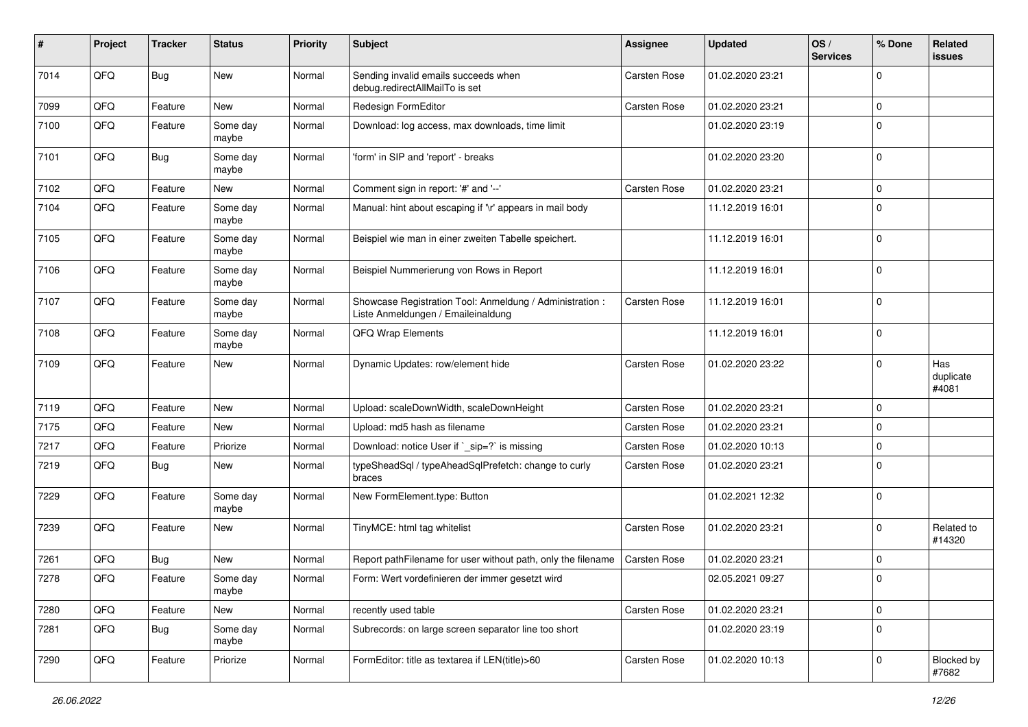| #    | Project | <b>Tracker</b> | <b>Status</b>     | <b>Priority</b> | <b>Subject</b>                                                                                 | <b>Assignee</b>     | <b>Updated</b>   | OS/<br><b>Services</b> | % Done              | Related<br>issues         |
|------|---------|----------------|-------------------|-----------------|------------------------------------------------------------------------------------------------|---------------------|------------------|------------------------|---------------------|---------------------------|
| 7014 | QFQ     | <b>Bug</b>     | New               | Normal          | Sending invalid emails succeeds when<br>debug.redirectAllMailTo is set                         | <b>Carsten Rose</b> | 01.02.2020 23:21 |                        | 0                   |                           |
| 7099 | QFQ     | Feature        | New               | Normal          | Redesign FormEditor                                                                            | Carsten Rose        | 01.02.2020 23:21 |                        | $\mathbf 0$         |                           |
| 7100 | QFQ     | Feature        | Some day<br>maybe | Normal          | Download: log access, max downloads, time limit                                                |                     | 01.02.2020 23:19 |                        | $\mathbf 0$         |                           |
| 7101 | QFQ     | <b>Bug</b>     | Some day<br>maybe | Normal          | 'form' in SIP and 'report' - breaks                                                            |                     | 01.02.2020 23:20 |                        | $\mathbf 0$         |                           |
| 7102 | QFQ     | Feature        | New               | Normal          | Comment sign in report: '#' and '--'                                                           | Carsten Rose        | 01.02.2020 23:21 |                        | $\mathbf 0$         |                           |
| 7104 | QFQ     | Feature        | Some day<br>maybe | Normal          | Manual: hint about escaping if '\r' appears in mail body                                       |                     | 11.12.2019 16:01 |                        | $\mathbf 0$         |                           |
| 7105 | QFQ     | Feature        | Some day<br>maybe | Normal          | Beispiel wie man in einer zweiten Tabelle speichert.                                           |                     | 11.12.2019 16:01 |                        | $\mathbf 0$         |                           |
| 7106 | QFQ     | Feature        | Some day<br>maybe | Normal          | Beispiel Nummerierung von Rows in Report                                                       |                     | 11.12.2019 16:01 |                        | $\mathbf 0$         |                           |
| 7107 | QFQ     | Feature        | Some day<br>maybe | Normal          | Showcase Registration Tool: Anmeldung / Administration :<br>Liste Anmeldungen / Emaileinaldung | Carsten Rose        | 11.12.2019 16:01 |                        | $\mathbf 0$         |                           |
| 7108 | QFQ     | Feature        | Some day<br>maybe | Normal          | <b>QFQ Wrap Elements</b>                                                                       |                     | 11.12.2019 16:01 |                        | $\mathbf 0$         |                           |
| 7109 | QFQ     | Feature        | New               | Normal          | Dynamic Updates: row/element hide                                                              | Carsten Rose        | 01.02.2020 23:22 |                        | $\mathbf 0$         | Has<br>duplicate<br>#4081 |
| 7119 | QFQ     | Feature        | New               | Normal          | Upload: scaleDownWidth, scaleDownHeight                                                        | <b>Carsten Rose</b> | 01.02.2020 23:21 |                        | $\mathbf 0$         |                           |
| 7175 | QFQ     | Feature        | New               | Normal          | Upload: md5 hash as filename                                                                   | Carsten Rose        | 01.02.2020 23:21 |                        | $\mathbf 0$         |                           |
| 7217 | QFQ     | Feature        | Priorize          | Normal          | Download: notice User if `_sip=?` is missing                                                   | Carsten Rose        | 01.02.2020 10:13 |                        | $\mathbf 0$         |                           |
| 7219 | QFQ     | Bug            | New               | Normal          | typeSheadSql / typeAheadSqlPrefetch: change to curly<br>braces                                 | Carsten Rose        | 01.02.2020 23:21 |                        | $\Omega$            |                           |
| 7229 | QFQ     | Feature        | Some day<br>maybe | Normal          | New FormElement.type: Button                                                                   |                     | 01.02.2021 12:32 |                        | $\mathbf 0$         |                           |
| 7239 | QFQ     | Feature        | New               | Normal          | TinyMCE: html tag whitelist                                                                    | <b>Carsten Rose</b> | 01.02.2020 23:21 |                        | $\mathbf 0$         | Related to<br>#14320      |
| 7261 | QFQ     | Bug            | New               | Normal          | Report pathFilename for user without path, only the filename                                   | <b>Carsten Rose</b> | 01.02.2020 23:21 |                        | $\mathbf 0$         |                           |
| 7278 | QFQ     | Feature        | Some day<br>maybe | Normal          | Form: Wert vordefinieren der immer gesetzt wird                                                |                     | 02.05.2021 09:27 |                        | l 0                 |                           |
| 7280 | QFQ     | Feature        | New               | Normal          | recently used table                                                                            | Carsten Rose        | 01.02.2020 23:21 |                        | $\mathsf{O}\xspace$ |                           |
| 7281 | QFQ     | <b>Bug</b>     | Some day<br>maybe | Normal          | Subrecords: on large screen separator line too short                                           |                     | 01.02.2020 23:19 |                        | $\mathbf 0$         |                           |
| 7290 | QFQ     | Feature        | Priorize          | Normal          | FormEditor: title as textarea if LEN(title)>60                                                 | Carsten Rose        | 01.02.2020 10:13 |                        | 0                   | Blocked by<br>#7682       |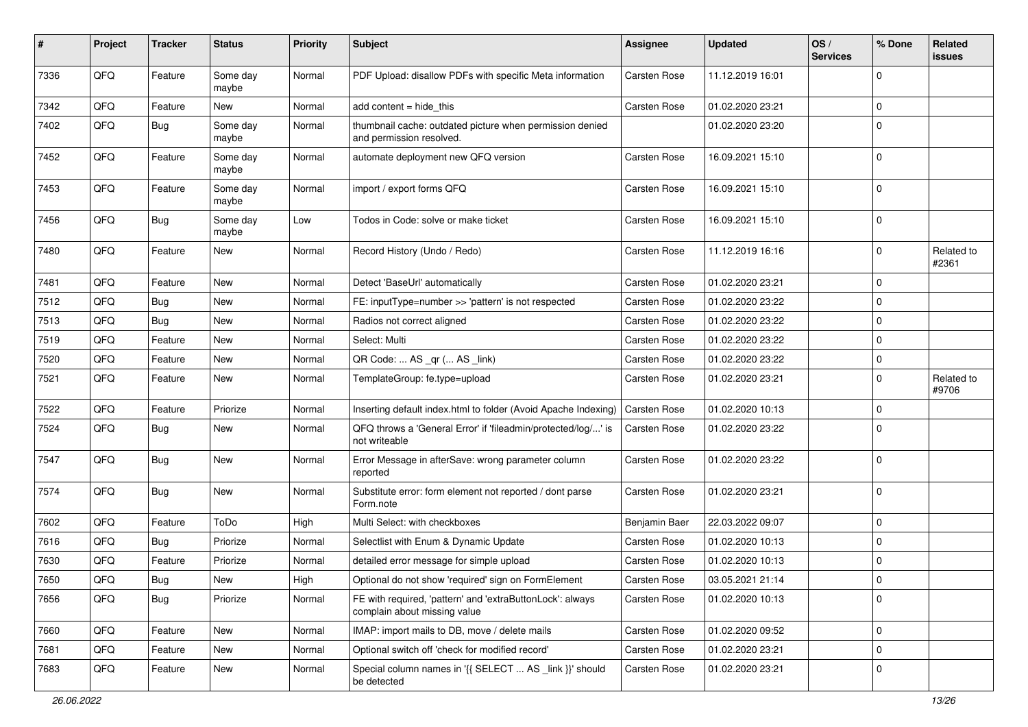| #    | Project | <b>Tracker</b> | <b>Status</b>     | <b>Priority</b> | Subject                                                                                   | <b>Assignee</b>     | <b>Updated</b>   | OS/<br><b>Services</b> | % Done      | Related<br>issues   |
|------|---------|----------------|-------------------|-----------------|-------------------------------------------------------------------------------------------|---------------------|------------------|------------------------|-------------|---------------------|
| 7336 | QFQ     | Feature        | Some day<br>maybe | Normal          | PDF Upload: disallow PDFs with specific Meta information                                  | <b>Carsten Rose</b> | 11.12.2019 16:01 |                        | $\mathbf 0$ |                     |
| 7342 | QFQ     | Feature        | New               | Normal          | add content = hide_this                                                                   | Carsten Rose        | 01.02.2020 23:21 |                        | 0           |                     |
| 7402 | QFQ     | <b>Bug</b>     | Some day<br>maybe | Normal          | thumbnail cache: outdated picture when permission denied<br>and permission resolved.      |                     | 01.02.2020 23:20 |                        | $\Omega$    |                     |
| 7452 | QFQ     | Feature        | Some day<br>maybe | Normal          | automate deployment new QFQ version                                                       | Carsten Rose        | 16.09.2021 15:10 |                        | $\mathbf 0$ |                     |
| 7453 | QFQ     | Feature        | Some day<br>maybe | Normal          | import / export forms QFQ                                                                 | Carsten Rose        | 16.09.2021 15:10 |                        | $\mathbf 0$ |                     |
| 7456 | QFQ     | Bug            | Some day<br>maybe | Low             | Todos in Code: solve or make ticket                                                       | Carsten Rose        | 16.09.2021 15:10 |                        | $\mathbf 0$ |                     |
| 7480 | QFQ     | Feature        | New               | Normal          | Record History (Undo / Redo)                                                              | Carsten Rose        | 11.12.2019 16:16 |                        | $\mathbf 0$ | Related to<br>#2361 |
| 7481 | QFQ     | Feature        | New               | Normal          | Detect 'BaseUrl' automatically                                                            | Carsten Rose        | 01.02.2020 23:21 |                        | 0           |                     |
| 7512 | QFQ     | <b>Bug</b>     | New               | Normal          | FE: inputType=number >> 'pattern' is not respected                                        | Carsten Rose        | 01.02.2020 23:22 |                        | 0           |                     |
| 7513 | QFQ     | <b>Bug</b>     | New               | Normal          | Radios not correct aligned                                                                | Carsten Rose        | 01.02.2020 23:22 |                        | $\mathbf 0$ |                     |
| 7519 | QFQ     | Feature        | New               | Normal          | Select: Multi                                                                             | Carsten Rose        | 01.02.2020 23:22 |                        | $\mathbf 0$ |                     |
| 7520 | QFQ     | Feature        | New               | Normal          | QR Code:  AS _qr ( AS _link)                                                              | Carsten Rose        | 01.02.2020 23:22 |                        | $\mathbf 0$ |                     |
| 7521 | QFQ     | Feature        | New               | Normal          | TemplateGroup: fe.type=upload                                                             | Carsten Rose        | 01.02.2020 23:21 |                        | $\mathbf 0$ | Related to<br>#9706 |
| 7522 | QFQ     | Feature        | Priorize          | Normal          | Inserting default index.html to folder (Avoid Apache Indexing)                            | Carsten Rose        | 01.02.2020 10:13 |                        | $\mathbf 0$ |                     |
| 7524 | QFQ     | Bug            | New               | Normal          | QFQ throws a 'General Error' if 'fileadmin/protected/log/' is<br>not writeable            | <b>Carsten Rose</b> | 01.02.2020 23:22 |                        | $\mathbf 0$ |                     |
| 7547 | QFQ     | Bug            | New               | Normal          | Error Message in afterSave: wrong parameter column<br>reported                            | Carsten Rose        | 01.02.2020 23:22 |                        | $\mathbf 0$ |                     |
| 7574 | QFQ     | Bug            | New               | Normal          | Substitute error: form element not reported / dont parse<br>Form.note                     | Carsten Rose        | 01.02.2020 23:21 |                        | $\Omega$    |                     |
| 7602 | QFQ     | Feature        | ToDo              | High            | Multi Select: with checkboxes                                                             | Benjamin Baer       | 22.03.2022 09:07 |                        | $\mathbf 0$ |                     |
| 7616 | QFQ     | <b>Bug</b>     | Priorize          | Normal          | Selectlist with Enum & Dynamic Update                                                     | Carsten Rose        | 01.02.2020 10:13 |                        | $\mathbf 0$ |                     |
| 7630 | QFQ     | Feature        | Priorize          | Normal          | detailed error message for simple upload                                                  | Carsten Rose        | 01.02.2020 10:13 |                        | $\mathbf 0$ |                     |
| 7650 | QFQ     | Bug            | New               | High            | Optional do not show 'required' sign on FormElement                                       | Carsten Rose        | 03.05.2021 21:14 |                        | 0           |                     |
| 7656 | QFQ     | <b>Bug</b>     | Priorize          | Normal          | FE with required, 'pattern' and 'extraButtonLock': always<br>complain about missing value | Carsten Rose        | 01.02.2020 10:13 |                        | $\mathbf 0$ |                     |
| 7660 | QFQ     | Feature        | New               | Normal          | IMAP: import mails to DB, move / delete mails                                             | Carsten Rose        | 01.02.2020 09:52 |                        | $\mathbf 0$ |                     |
| 7681 | QFQ     | Feature        | New               | Normal          | Optional switch off 'check for modified record'                                           | Carsten Rose        | 01.02.2020 23:21 |                        | 0           |                     |
| 7683 | QFQ     | Feature        | New               | Normal          | Special column names in '{{ SELECT  AS _link }}' should<br>be detected                    | Carsten Rose        | 01.02.2020 23:21 |                        | $\mathbf 0$ |                     |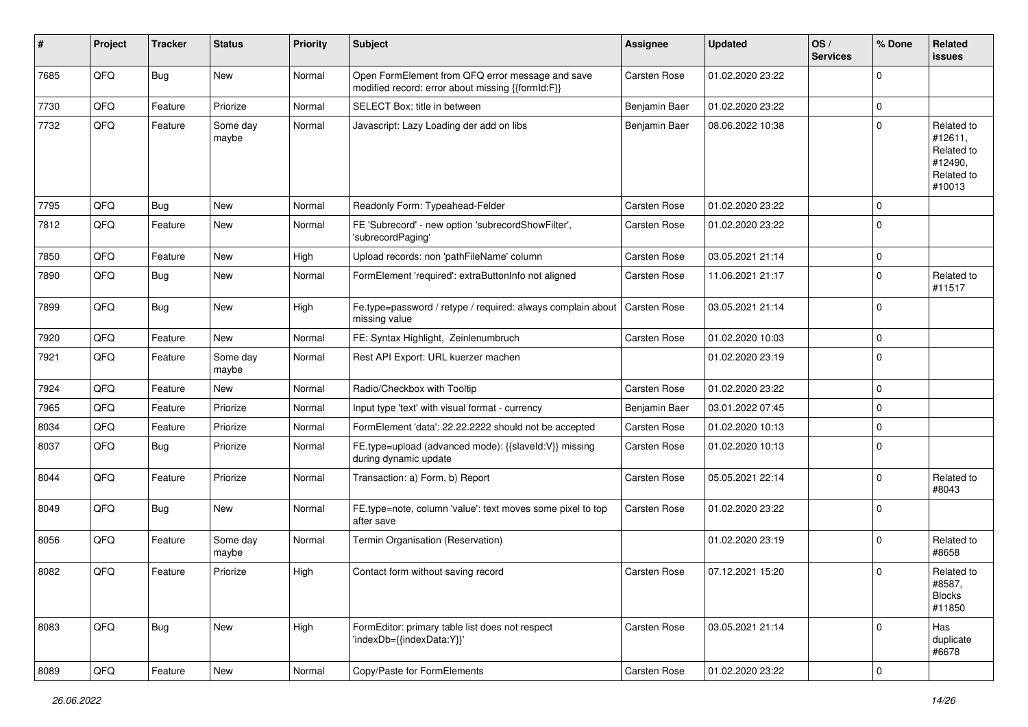| ∦    | Project | <b>Tracker</b> | <b>Status</b>     | <b>Priority</b> | <b>Subject</b>                                                                                        | <b>Assignee</b>     | <b>Updated</b>   | OS/<br><b>Services</b> | % Done      | Related<br><b>issues</b>                                               |
|------|---------|----------------|-------------------|-----------------|-------------------------------------------------------------------------------------------------------|---------------------|------------------|------------------------|-------------|------------------------------------------------------------------------|
| 7685 | QFQ     | <b>Bug</b>     | New               | Normal          | Open FormElement from QFQ error message and save<br>modified record: error about missing {{formId:F}} | <b>Carsten Rose</b> | 01.02.2020 23:22 |                        | $\Omega$    |                                                                        |
| 7730 | QFQ     | Feature        | Priorize          | Normal          | SELECT Box: title in between                                                                          | Benjamin Baer       | 01.02.2020 23:22 |                        | $\mathbf 0$ |                                                                        |
| 7732 | QFQ     | Feature        | Some day<br>maybe | Normal          | Javascript: Lazy Loading der add on libs                                                              | Benjamin Baer       | 08.06.2022 10:38 |                        | $\Omega$    | Related to<br>#12611,<br>Related to<br>#12490,<br>Related to<br>#10013 |
| 7795 | QFQ     | Bug            | New               | Normal          | Readonly Form: Typeahead-Felder                                                                       | <b>Carsten Rose</b> | 01.02.2020 23:22 |                        | $\mathbf 0$ |                                                                        |
| 7812 | QFQ     | Feature        | New               | Normal          | FE 'Subrecord' - new option 'subrecordShowFilter',<br>'subrecordPaging'                               | Carsten Rose        | 01.02.2020 23:22 |                        | $\Omega$    |                                                                        |
| 7850 | QFQ     | Feature        | <b>New</b>        | High            | Upload records: non 'pathFileName' column                                                             | <b>Carsten Rose</b> | 03.05.2021 21:14 |                        | $\mathbf 0$ |                                                                        |
| 7890 | QFQ     | <b>Bug</b>     | New               | Normal          | FormElement 'required': extraButtonInfo not aligned                                                   | Carsten Rose        | 11.06.2021 21:17 |                        | $\Omega$    | Related to<br>#11517                                                   |
| 7899 | QFQ     | <b>Bug</b>     | New               | High            | Fe.type=password / retype / required: always complain about<br>missing value                          | Carsten Rose        | 03.05.2021 21:14 |                        | $\Omega$    |                                                                        |
| 7920 | QFQ     | Feature        | New               | Normal          | FE: Syntax Highlight, Zeinlenumbruch                                                                  | <b>Carsten Rose</b> | 01.02.2020 10:03 |                        | $\mathbf 0$ |                                                                        |
| 7921 | QFQ     | Feature        | Some day<br>maybe | Normal          | Rest API Export: URL kuerzer machen                                                                   |                     | 01.02.2020 23:19 |                        | $\Omega$    |                                                                        |
| 7924 | QFQ     | Feature        | New               | Normal          | Radio/Checkbox with Tooltip                                                                           | <b>Carsten Rose</b> | 01.02.2020 23:22 |                        | $\mathbf 0$ |                                                                        |
| 7965 | QFQ     | Feature        | Priorize          | Normal          | Input type 'text' with visual format - currency                                                       | Benjamin Baer       | 03.01.2022 07:45 |                        | $\mathbf 0$ |                                                                        |
| 8034 | QFQ     | Feature        | Priorize          | Normal          | FormElement 'data': 22.22.2222 should not be accepted                                                 | <b>Carsten Rose</b> | 01.02.2020 10:13 |                        | $\mathbf 0$ |                                                                        |
| 8037 | QFQ     | Bug            | Priorize          | Normal          | FE.type=upload (advanced mode): {{slaveld:V}} missing<br>during dynamic update                        | Carsten Rose        | 01.02.2020 10:13 |                        | $\Omega$    |                                                                        |
| 8044 | QFQ     | Feature        | Priorize          | Normal          | Transaction: a) Form, b) Report                                                                       | <b>Carsten Rose</b> | 05.05.2021 22:14 |                        | $\Omega$    | Related to<br>#8043                                                    |
| 8049 | QFQ     | <b>Bug</b>     | New               | Normal          | FE.type=note, column 'value': text moves some pixel to top<br>after save                              | <b>Carsten Rose</b> | 01.02.2020 23:22 |                        | $\Omega$    |                                                                        |
| 8056 | QFQ     | Feature        | Some day<br>maybe | Normal          | Termin Organisation (Reservation)                                                                     |                     | 01.02.2020 23:19 |                        | $\Omega$    | Related to<br>#8658                                                    |
| 8082 | QFQ     | Feature        | Priorize          | High            | Contact form without saving record                                                                    | <b>Carsten Rose</b> | 07.12.2021 15:20 |                        | $\Omega$    | Related to<br>#8587,<br><b>Blocks</b><br>#11850                        |
| 8083 | QFQ     | <b>Bug</b>     | New               | High            | FormEditor: primary table list does not respect<br>'indexDb={{indexData:Y}}'                          | Carsten Rose        | 03.05.2021 21:14 |                        | $\Omega$    | Has<br>duplicate<br>#6678                                              |
| 8089 | QFG     | Feature        | New               | Normal          | Copy/Paste for FormElements                                                                           | Carsten Rose        | 01.02.2020 23:22 |                        | 0           |                                                                        |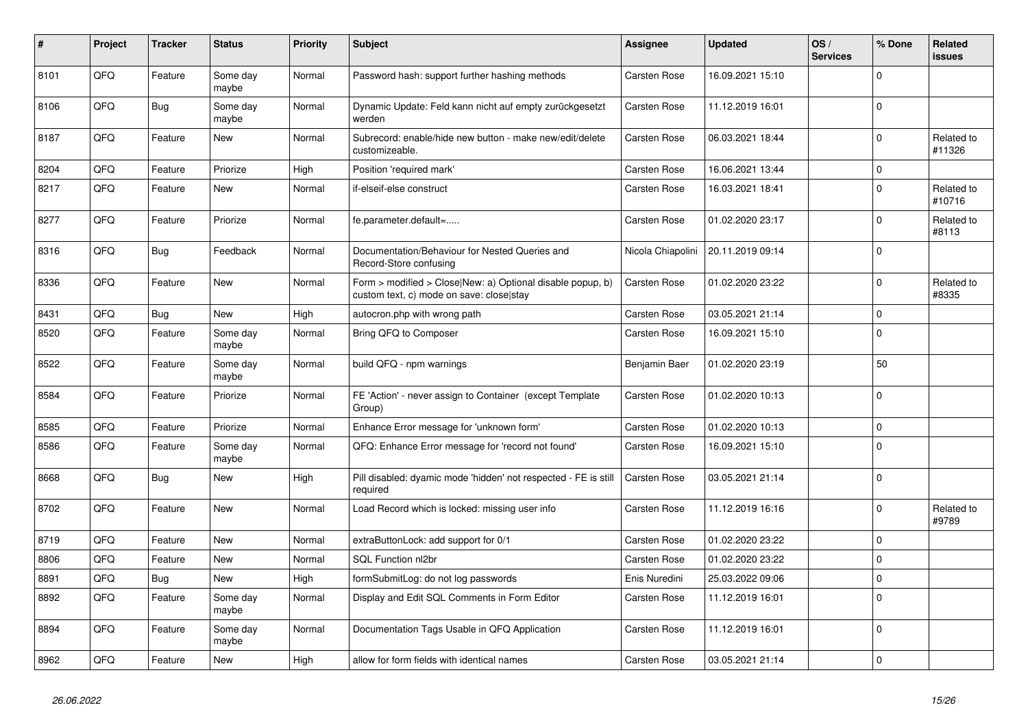| #    | Project | <b>Tracker</b> | <b>Status</b>     | <b>Priority</b> | <b>Subject</b>                                                                                         | Assignee            | <b>Updated</b>   | OS/<br><b>Services</b> | % Done         | Related<br>issues    |
|------|---------|----------------|-------------------|-----------------|--------------------------------------------------------------------------------------------------------|---------------------|------------------|------------------------|----------------|----------------------|
| 8101 | QFQ     | Feature        | Some day<br>maybe | Normal          | Password hash: support further hashing methods                                                         | <b>Carsten Rose</b> | 16.09.2021 15:10 |                        | $\Omega$       |                      |
| 8106 | QFQ     | Bug            | Some day<br>maybe | Normal          | Dynamic Update: Feld kann nicht auf empty zurückgesetzt<br>werden                                      | Carsten Rose        | 11.12.2019 16:01 |                        | $\Omega$       |                      |
| 8187 | QFQ     | Feature        | New               | Normal          | Subrecord: enable/hide new button - make new/edit/delete<br>customizeable.                             | Carsten Rose        | 06.03.2021 18:44 |                        | $\mathbf{0}$   | Related to<br>#11326 |
| 8204 | QFQ     | Feature        | Priorize          | High            | Position 'required mark'                                                                               | <b>Carsten Rose</b> | 16.06.2021 13:44 |                        | $\mathbf 0$    |                      |
| 8217 | QFQ     | Feature        | New               | Normal          | if-elseif-else construct                                                                               | Carsten Rose        | 16.03.2021 18:41 |                        | $\Omega$       | Related to<br>#10716 |
| 8277 | QFQ     | Feature        | Priorize          | Normal          | fe.parameter.default=                                                                                  | <b>Carsten Rose</b> | 01.02.2020 23:17 |                        | $\Omega$       | Related to<br>#8113  |
| 8316 | QFQ     | <b>Bug</b>     | Feedback          | Normal          | Documentation/Behaviour for Nested Queries and<br>Record-Store confusing                               | Nicola Chiapolini   | 20.11.2019 09:14 |                        | $\mathbf 0$    |                      |
| 8336 | QFQ     | Feature        | New               | Normal          | Form > modified > Close New: a) Optional disable popup, b)<br>custom text, c) mode on save: close stay | Carsten Rose        | 01.02.2020 23:22 |                        | $\mathbf{0}$   | Related to<br>#8335  |
| 8431 | QFQ     | <b>Bug</b>     | New               | High            | autocron.php with wrong path                                                                           | Carsten Rose        | 03.05.2021 21:14 |                        | $\mathbf 0$    |                      |
| 8520 | QFQ     | Feature        | Some day<br>maybe | Normal          | Bring QFQ to Composer                                                                                  | Carsten Rose        | 16.09.2021 15:10 |                        | $\Omega$       |                      |
| 8522 | QFQ     | Feature        | Some day<br>maybe | Normal          | build QFQ - npm warnings                                                                               | Benjamin Baer       | 01.02.2020 23:19 |                        | 50             |                      |
| 8584 | QFQ     | Feature        | Priorize          | Normal          | FE 'Action' - never assign to Container (except Template<br>Group)                                     | <b>Carsten Rose</b> | 01.02.2020 10:13 |                        | $\Omega$       |                      |
| 8585 | QFQ     | Feature        | Priorize          | Normal          | Enhance Error message for 'unknown form'                                                               | Carsten Rose        | 01.02.2020 10:13 |                        | $\mathbf 0$    |                      |
| 8586 | QFQ     | Feature        | Some day<br>maybe | Normal          | QFQ: Enhance Error message for 'record not found'                                                      | <b>Carsten Rose</b> | 16.09.2021 15:10 |                        | $\mathbf 0$    |                      |
| 8668 | QFQ     | <b>Bug</b>     | New               | High            | Pill disabled: dyamic mode 'hidden' not respected - FE is still<br>required                            | Carsten Rose        | 03.05.2021 21:14 |                        | $\Omega$       |                      |
| 8702 | QFQ     | Feature        | New               | Normal          | Load Record which is locked: missing user info                                                         | <b>Carsten Rose</b> | 11.12.2019 16:16 |                        | $\Omega$       | Related to<br>#9789  |
| 8719 | QFQ     | Feature        | <b>New</b>        | Normal          | extraButtonLock: add support for 0/1                                                                   | <b>Carsten Rose</b> | 01.02.2020 23:22 |                        | $\Omega$       |                      |
| 8806 | QFQ     | Feature        | <b>New</b>        | Normal          | <b>SQL Function nl2br</b>                                                                              | <b>Carsten Rose</b> | 01.02.2020 23:22 |                        | $\overline{0}$ |                      |
| 8891 | QFQ     | <b>Bug</b>     | <b>New</b>        | High            | formSubmitLog: do not log passwords                                                                    | Enis Nuredini       | 25.03.2022 09:06 |                        | $\mathbf 0$    |                      |
| 8892 | QFQ     | Feature        | Some day<br>maybe | Normal          | Display and Edit SQL Comments in Form Editor                                                           | Carsten Rose        | 11.12.2019 16:01 |                        | $\mathbf{0}$   |                      |
| 8894 | QFQ     | Feature        | Some day<br>maybe | Normal          | Documentation Tags Usable in QFQ Application                                                           | Carsten Rose        | 11.12.2019 16:01 |                        | $\mathbf{0}$   |                      |
| 8962 | QFQ     | Feature        | <b>New</b>        | High            | allow for form fields with identical names                                                             | Carsten Rose        | 03.05.2021 21:14 |                        | $\mathbf{0}$   |                      |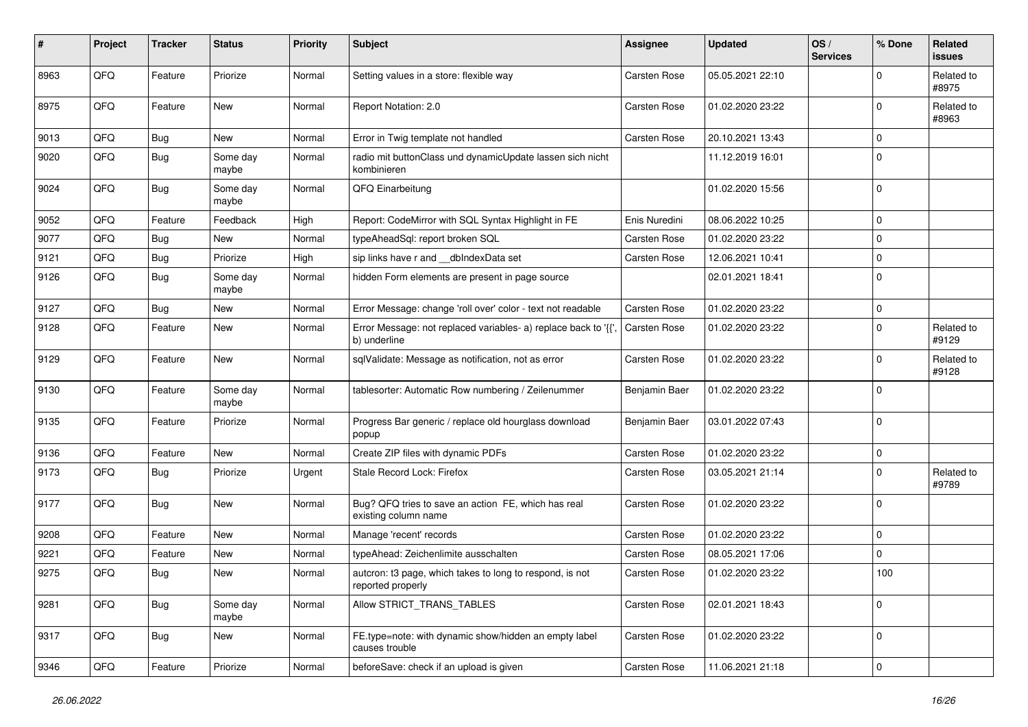| #    | Project | <b>Tracker</b> | <b>Status</b>     | <b>Priority</b> | <b>Subject</b>                                                                 | Assignee            | <b>Updated</b>   | OS/<br><b>Services</b> | % Done      | <b>Related</b><br><b>issues</b> |
|------|---------|----------------|-------------------|-----------------|--------------------------------------------------------------------------------|---------------------|------------------|------------------------|-------------|---------------------------------|
| 8963 | QFQ     | Feature        | Priorize          | Normal          | Setting values in a store: flexible way                                        | <b>Carsten Rose</b> | 05.05.2021 22:10 |                        | 0           | Related to<br>#8975             |
| 8975 | QFQ     | Feature        | New               | Normal          | Report Notation: 2.0                                                           | <b>Carsten Rose</b> | 01.02.2020 23:22 |                        | $\Omega$    | Related to<br>#8963             |
| 9013 | QFQ     | <b>Bug</b>     | New               | Normal          | Error in Twig template not handled                                             | Carsten Rose        | 20.10.2021 13:43 |                        | 0           |                                 |
| 9020 | QFQ     | <b>Bug</b>     | Some day<br>maybe | Normal          | radio mit buttonClass und dynamicUpdate lassen sich nicht<br>kombinieren       |                     | 11.12.2019 16:01 |                        | 0           |                                 |
| 9024 | QFQ     | <b>Bug</b>     | Some day<br>maybe | Normal          | QFQ Einarbeitung                                                               |                     | 01.02.2020 15:56 |                        | $\Omega$    |                                 |
| 9052 | QFQ     | Feature        | Feedback          | High            | Report: CodeMirror with SQL Syntax Highlight in FE                             | Enis Nuredini       | 08.06.2022 10:25 |                        | $\Omega$    |                                 |
| 9077 | QFQ     | <b>Bug</b>     | New               | Normal          | typeAheadSql: report broken SQL                                                | <b>Carsten Rose</b> | 01.02.2020 23:22 |                        | $\mathbf 0$ |                                 |
| 9121 | QFQ     | <b>Bug</b>     | Priorize          | High            | sip links have r and __dbIndexData set                                         | <b>Carsten Rose</b> | 12.06.2021 10:41 |                        | $\mathbf 0$ |                                 |
| 9126 | QFQ     | Bug            | Some day<br>maybe | Normal          | hidden Form elements are present in page source                                |                     | 02.01.2021 18:41 |                        | $\Omega$    |                                 |
| 9127 | QFQ     | Bug            | New               | Normal          | Error Message: change 'roll over' color - text not readable                    | Carsten Rose        | 01.02.2020 23:22 |                        | $\mathbf 0$ |                                 |
| 9128 | QFQ     | Feature        | New               | Normal          | Error Message: not replaced variables- a) replace back to '{{'<br>b) underline | <b>Carsten Rose</b> | 01.02.2020 23:22 |                        | $\Omega$    | Related to<br>#9129             |
| 9129 | QFQ     | Feature        | New               | Normal          | sqlValidate: Message as notification, not as error                             | Carsten Rose        | 01.02.2020 23:22 |                        | $\Omega$    | Related to<br>#9128             |
| 9130 | QFQ     | Feature        | Some day<br>maybe | Normal          | tablesorter: Automatic Row numbering / Zeilenummer                             | Benjamin Baer       | 01.02.2020 23:22 |                        | $\Omega$    |                                 |
| 9135 | QFQ     | Feature        | Priorize          | Normal          | Progress Bar generic / replace old hourglass download<br>popup                 | Benjamin Baer       | 03.01.2022 07:43 |                        | $\Omega$    |                                 |
| 9136 | QFQ     | Feature        | New               | Normal          | Create ZIP files with dynamic PDFs                                             | Carsten Rose        | 01.02.2020 23:22 |                        | 0           |                                 |
| 9173 | QFQ     | <b>Bug</b>     | Priorize          | Urgent          | Stale Record Lock: Firefox                                                     | Carsten Rose        | 03.05.2021 21:14 |                        | $\Omega$    | Related to<br>#9789             |
| 9177 | QFQ     | <b>Bug</b>     | New               | Normal          | Bug? QFQ tries to save an action FE, which has real<br>existing column name    | Carsten Rose        | 01.02.2020 23:22 |                        | $\Omega$    |                                 |
| 9208 | QFQ     | Feature        | New               | Normal          | Manage 'recent' records                                                        | <b>Carsten Rose</b> | 01.02.2020 23:22 |                        | 0           |                                 |
| 9221 | QFQ     | Feature        | New               | Normal          | typeAhead: Zeichenlimite ausschalten                                           | <b>Carsten Rose</b> | 08.05.2021 17:06 |                        | $\Omega$    |                                 |
| 9275 | QFQ     | <b>Bug</b>     | New               | Normal          | autcron: t3 page, which takes to long to respond, is not<br>reported properly  | Carsten Rose        | 01.02.2020 23:22 |                        | 100         |                                 |
| 9281 | QFQ     | <b>Bug</b>     | Some day<br>maybe | Normal          | Allow STRICT TRANS TABLES                                                      | <b>Carsten Rose</b> | 02.01.2021 18:43 |                        | 0           |                                 |
| 9317 | QFQ     | Bug            | New               | Normal          | FE.type=note: with dynamic show/hidden an empty label<br>causes trouble        | Carsten Rose        | 01.02.2020 23:22 |                        | $\Omega$    |                                 |
| 9346 | QFQ     | Feature        | Priorize          | Normal          | beforeSave: check if an upload is given                                        | Carsten Rose        | 11.06.2021 21:18 |                        | 0           |                                 |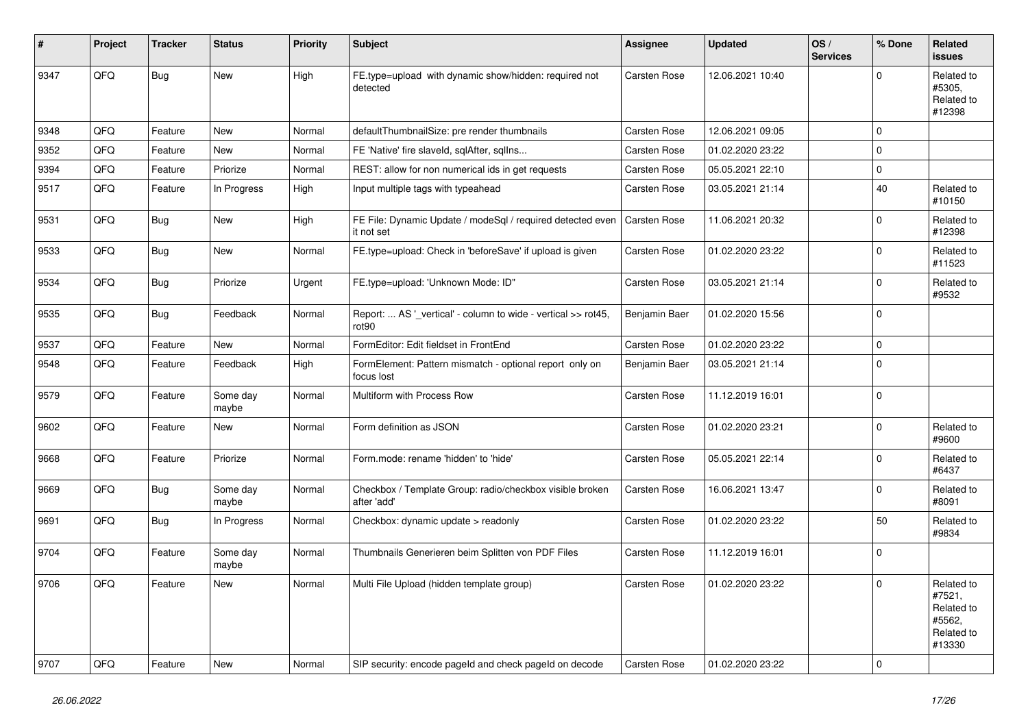| #    | Project | <b>Tracker</b> | <b>Status</b>     | <b>Priority</b> | <b>Subject</b>                                                           | <b>Assignee</b>     | <b>Updated</b>   | OS/<br><b>Services</b> | % Done      | Related<br><b>issues</b>                                             |
|------|---------|----------------|-------------------|-----------------|--------------------------------------------------------------------------|---------------------|------------------|------------------------|-------------|----------------------------------------------------------------------|
| 9347 | QFQ     | Bug            | New               | High            | FE.type=upload with dynamic show/hidden: required not<br>detected        | <b>Carsten Rose</b> | 12.06.2021 10:40 |                        | $\mathbf 0$ | Related to<br>#5305,<br>Related to<br>#12398                         |
| 9348 | QFQ     | Feature        | <b>New</b>        | Normal          | defaultThumbnailSize: pre render thumbnails                              | <b>Carsten Rose</b> | 12.06.2021 09:05 |                        | $\mathbf 0$ |                                                                      |
| 9352 | QFQ     | Feature        | New               | Normal          | FE 'Native' fire slaveld, sqlAfter, sqllns                               | <b>Carsten Rose</b> | 01.02.2020 23:22 |                        | $\mathbf 0$ |                                                                      |
| 9394 | QFQ     | Feature        | Priorize          | Normal          | REST: allow for non numerical ids in get requests                        | <b>Carsten Rose</b> | 05.05.2021 22:10 |                        | $\mathbf 0$ |                                                                      |
| 9517 | QFQ     | Feature        | In Progress       | High            | Input multiple tags with typeahead                                       | Carsten Rose        | 03.05.2021 21:14 |                        | 40          | Related to<br>#10150                                                 |
| 9531 | QFQ     | <b>Bug</b>     | New               | High            | FE File: Dynamic Update / modeSql / required detected even<br>it not set | <b>Carsten Rose</b> | 11.06.2021 20:32 |                        | $\mathbf 0$ | Related to<br>#12398                                                 |
| 9533 | QFQ     | <b>Bug</b>     | New               | Normal          | FE.type=upload: Check in 'beforeSave' if upload is given                 | Carsten Rose        | 01.02.2020 23:22 |                        | $\mathbf 0$ | Related to<br>#11523                                                 |
| 9534 | QFQ     | <b>Bug</b>     | Priorize          | Urgent          | FE.type=upload: 'Unknown Mode: ID"                                       | Carsten Rose        | 03.05.2021 21:14 |                        | $\mathbf 0$ | Related to<br>#9532                                                  |
| 9535 | QFQ     | Bug            | Feedback          | Normal          | Report:  AS '_vertical' - column to wide - vertical >> rot45,<br>rot90   | Benjamin Baer       | 01.02.2020 15:56 |                        | $\mathbf 0$ |                                                                      |
| 9537 | QFQ     | Feature        | New               | Normal          | FormEditor: Edit fieldset in FrontEnd                                    | <b>Carsten Rose</b> | 01.02.2020 23:22 |                        | $\mathsf 0$ |                                                                      |
| 9548 | QFQ     | Feature        | Feedback          | High            | FormElement: Pattern mismatch - optional report only on<br>focus lost    | Benjamin Baer       | 03.05.2021 21:14 |                        | $\mathbf 0$ |                                                                      |
| 9579 | QFQ     | Feature        | Some day<br>maybe | Normal          | Multiform with Process Row                                               | <b>Carsten Rose</b> | 11.12.2019 16:01 |                        | $\pmb{0}$   |                                                                      |
| 9602 | QFQ     | Feature        | New               | Normal          | Form definition as JSON                                                  | Carsten Rose        | 01.02.2020 23:21 |                        | $\mathbf 0$ | Related to<br>#9600                                                  |
| 9668 | QFQ     | Feature        | Priorize          | Normal          | Form.mode: rename 'hidden' to 'hide'                                     | <b>Carsten Rose</b> | 05.05.2021 22:14 |                        | $\mathbf 0$ | Related to<br>#6437                                                  |
| 9669 | QFQ     | <b>Bug</b>     | Some day<br>maybe | Normal          | Checkbox / Template Group: radio/checkbox visible broken<br>after 'add'  | <b>Carsten Rose</b> | 16.06.2021 13:47 |                        | $\mathbf 0$ | Related to<br>#8091                                                  |
| 9691 | QFQ     | <b>Bug</b>     | In Progress       | Normal          | Checkbox: dynamic update > readonly                                      | Carsten Rose        | 01.02.2020 23:22 |                        | 50          | Related to<br>#9834                                                  |
| 9704 | QFQ     | Feature        | Some day<br>maybe | Normal          | Thumbnails Generieren beim Splitten von PDF Files                        | <b>Carsten Rose</b> | 11.12.2019 16:01 |                        | $\mathbf 0$ |                                                                      |
| 9706 | QFQ     | Feature        | New               | Normal          | Multi File Upload (hidden template group)                                | <b>Carsten Rose</b> | 01.02.2020 23:22 |                        | $\Omega$    | Related to<br>#7521,<br>Related to<br>#5562,<br>Related to<br>#13330 |
| 9707 | QFQ     | Feature        | New               | Normal          | SIP security: encode pageld and check pageld on decode                   | Carsten Rose        | 01.02.2020 23:22 |                        | $\mathbf 0$ |                                                                      |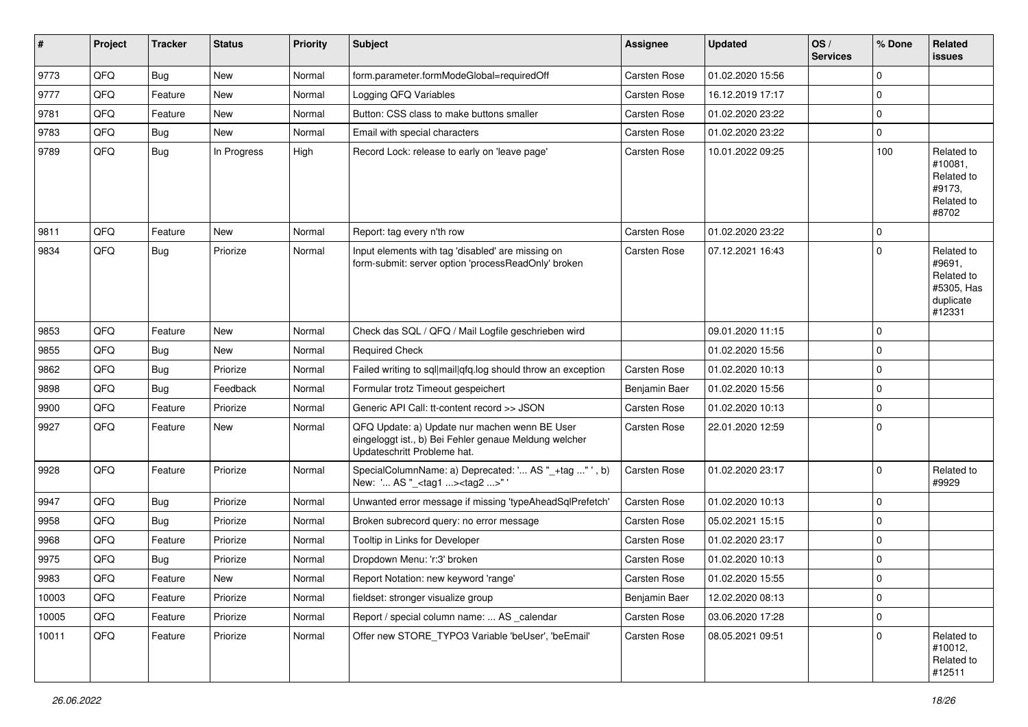| ∦     | Project | <b>Tracker</b> | <b>Status</b> | <b>Priority</b> | <b>Subject</b>                                                                                                                        | Assignee            | <b>Updated</b>   | OS/<br><b>Services</b> | % Done      | Related<br><b>issues</b>                                                |
|-------|---------|----------------|---------------|-----------------|---------------------------------------------------------------------------------------------------------------------------------------|---------------------|------------------|------------------------|-------------|-------------------------------------------------------------------------|
| 9773  | QFQ     | Bug            | New           | Normal          | form.parameter.formModeGlobal=requiredOff                                                                                             | <b>Carsten Rose</b> | 01.02.2020 15:56 |                        | $\mathbf 0$ |                                                                         |
| 9777  | QFQ     | Feature        | New           | Normal          | Logging QFQ Variables                                                                                                                 | Carsten Rose        | 16.12.2019 17:17 |                        | $\mathbf 0$ |                                                                         |
| 9781  | QFQ     | Feature        | New           | Normal          | Button: CSS class to make buttons smaller                                                                                             | <b>Carsten Rose</b> | 01.02.2020 23:22 |                        | $\mathbf 0$ |                                                                         |
| 9783  | QFQ     | Bug            | <b>New</b>    | Normal          | Email with special characters                                                                                                         | <b>Carsten Rose</b> | 01.02.2020 23:22 |                        | $\mathbf 0$ |                                                                         |
| 9789  | QFQ     | <b>Bug</b>     | In Progress   | High            | Record Lock: release to early on 'leave page'                                                                                         | <b>Carsten Rose</b> | 10.01.2022 09:25 |                        | 100         | Related to<br>#10081,<br>Related to<br>#9173,<br>Related to<br>#8702    |
| 9811  | QFQ     | Feature        | <b>New</b>    | Normal          | Report: tag every n'th row                                                                                                            | <b>Carsten Rose</b> | 01.02.2020 23:22 |                        | $\mathbf 0$ |                                                                         |
| 9834  | QFQ     | Bug            | Priorize      | Normal          | Input elements with tag 'disabled' are missing on<br>form-submit: server option 'processReadOnly' broken                              | <b>Carsten Rose</b> | 07.12.2021 16:43 |                        | $\mathbf 0$ | Related to<br>#9691,<br>Related to<br>#5305. Has<br>duplicate<br>#12331 |
| 9853  | QFQ     | Feature        | <b>New</b>    | Normal          | Check das SQL / QFQ / Mail Logfile geschrieben wird                                                                                   |                     | 09.01.2020 11:15 |                        | $\mathbf 0$ |                                                                         |
| 9855  | QFQ     | Bug            | <b>New</b>    | Normal          | <b>Required Check</b>                                                                                                                 |                     | 01.02.2020 15:56 |                        | 0           |                                                                         |
| 9862  | QFQ     | Bug            | Priorize      | Normal          | Failed writing to sql mail qfq.log should throw an exception                                                                          | <b>Carsten Rose</b> | 01.02.2020 10:13 |                        | $\mathbf 0$ |                                                                         |
| 9898  | QFQ     | Bug            | Feedback      | Normal          | Formular trotz Timeout gespeichert                                                                                                    | Benjamin Baer       | 01.02.2020 15:56 |                        | $\mathbf 0$ |                                                                         |
| 9900  | QFQ     | Feature        | Priorize      | Normal          | Generic API Call: tt-content record >> JSON                                                                                           | <b>Carsten Rose</b> | 01.02.2020 10:13 |                        | $\mathbf 0$ |                                                                         |
| 9927  | QFQ     | Feature        | New           | Normal          | QFQ Update: a) Update nur machen wenn BE User<br>eingeloggt ist., b) Bei Fehler genaue Meldung welcher<br>Updateschritt Probleme hat. | <b>Carsten Rose</b> | 22.01.2020 12:59 |                        | $\mathbf 0$ |                                                                         |
| 9928  | QFQ     | Feature        | Priorize      | Normal          | SpecialColumnName: a) Deprecated: ' AS "_+tag "', b)<br>New: ' AS "_ <tag1><tag2>"'</tag2></tag1>                                     | <b>Carsten Rose</b> | 01.02.2020 23:17 |                        | $\mathbf 0$ | Related to<br>#9929                                                     |
| 9947  | QFQ     | Bug            | Priorize      | Normal          | Unwanted error message if missing 'typeAheadSqlPrefetch'                                                                              | <b>Carsten Rose</b> | 01.02.2020 10:13 |                        | $\mathbf 0$ |                                                                         |
| 9958  | QFQ     | <b>Bug</b>     | Priorize      | Normal          | Broken subrecord query: no error message                                                                                              | <b>Carsten Rose</b> | 05.02.2021 15:15 |                        | $\mathbf 0$ |                                                                         |
| 9968  | QFQ     | Feature        | Priorize      | Normal          | Tooltip in Links for Developer                                                                                                        | <b>Carsten Rose</b> | 01.02.2020 23:17 |                        | $\mathbf 0$ |                                                                         |
| 9975  | QFQ     | Bug            | Priorize      | Normal          | Dropdown Menu: 'r:3' broken                                                                                                           | <b>Carsten Rose</b> | 01.02.2020 10:13 |                        | $\mathbf 0$ |                                                                         |
| 9983  | QFQ     | Feature        | New           | Normal          | Report Notation: new keyword 'range'                                                                                                  | Carsten Rose        | 01.02.2020 15:55 |                        | $\Omega$    |                                                                         |
| 10003 | QFQ     | Feature        | Priorize      | Normal          | fieldset: stronger visualize group                                                                                                    | Benjamin Baer       | 12.02.2020 08:13 |                        | $\mathbf 0$ |                                                                         |
| 10005 | QFQ     | Feature        | Priorize      | Normal          | Report / special column name:  AS _calendar                                                                                           | Carsten Rose        | 03.06.2020 17:28 |                        | $\mathbf 0$ |                                                                         |
| 10011 | QFQ     | Feature        | Priorize      | Normal          | Offer new STORE_TYPO3 Variable 'beUser', 'beEmail'                                                                                    | Carsten Rose        | 08.05.2021 09:51 |                        | $\mathbf 0$ | Related to<br>#10012,<br>Related to<br>#12511                           |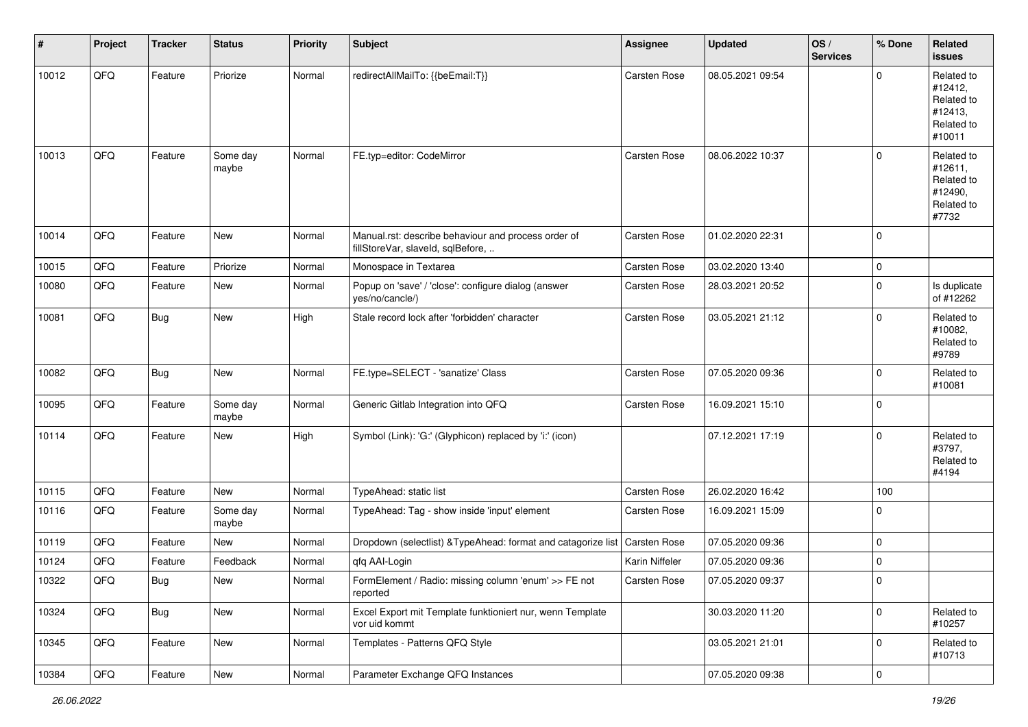| #     | Project | <b>Tracker</b> | <b>Status</b>     | <b>Priority</b> | <b>Subject</b>                                                                           | <b>Assignee</b>     | <b>Updated</b>   | OS/<br><b>Services</b> | % Done         | Related<br><b>issues</b>                                               |
|-------|---------|----------------|-------------------|-----------------|------------------------------------------------------------------------------------------|---------------------|------------------|------------------------|----------------|------------------------------------------------------------------------|
| 10012 | QFQ     | Feature        | Priorize          | Normal          | redirectAllMailTo: {{beEmail:T}}                                                         | <b>Carsten Rose</b> | 08.05.2021 09:54 |                        | $\Omega$       | Related to<br>#12412,<br>Related to<br>#12413,<br>Related to<br>#10011 |
| 10013 | QFQ     | Feature        | Some day<br>maybe | Normal          | FE.typ=editor: CodeMirror                                                                | <b>Carsten Rose</b> | 08.06.2022 10:37 |                        | $\Omega$       | Related to<br>#12611,<br>Related to<br>#12490,<br>Related to<br>#7732  |
| 10014 | QFQ     | Feature        | New               | Normal          | Manual.rst: describe behaviour and process order of<br>fillStoreVar, slaveId, sqlBefore, | Carsten Rose        | 01.02.2020 22:31 |                        | $\mathbf 0$    |                                                                        |
| 10015 | QFQ     | Feature        | Priorize          | Normal          | Monospace in Textarea                                                                    | <b>Carsten Rose</b> | 03.02.2020 13:40 |                        | $\mathbf 0$    |                                                                        |
| 10080 | QFQ     | Feature        | New               | Normal          | Popup on 'save' / 'close': configure dialog (answer<br>yes/no/cancle/)                   | <b>Carsten Rose</b> | 28.03.2021 20:52 |                        | $\mathbf 0$    | Is duplicate<br>of #12262                                              |
| 10081 | QFQ     | <b>Bug</b>     | New               | High            | Stale record lock after 'forbidden' character                                            | <b>Carsten Rose</b> | 03.05.2021 21:12 |                        | $\Omega$       | Related to<br>#10082,<br>Related to<br>#9789                           |
| 10082 | QFQ     | <b>Bug</b>     | New               | Normal          | FE.type=SELECT - 'sanatize' Class                                                        | Carsten Rose        | 07.05.2020 09:36 |                        | $\mathbf 0$    | Related to<br>#10081                                                   |
| 10095 | QFQ     | Feature        | Some day<br>maybe | Normal          | Generic Gitlab Integration into QFQ                                                      | Carsten Rose        | 16.09.2021 15:10 |                        | $\Omega$       |                                                                        |
| 10114 | QFQ     | Feature        | New               | High            | Symbol (Link): 'G:' (Glyphicon) replaced by 'i:' (icon)                                  |                     | 07.12.2021 17:19 |                        | $\mathbf 0$    | Related to<br>#3797,<br>Related to<br>#4194                            |
| 10115 | QFQ     | Feature        | New               | Normal          | TypeAhead: static list                                                                   | <b>Carsten Rose</b> | 26.02.2020 16:42 |                        | 100            |                                                                        |
| 10116 | QFQ     | Feature        | Some day<br>maybe | Normal          | TypeAhead: Tag - show inside 'input' element                                             | Carsten Rose        | 16.09.2021 15:09 |                        | $\Omega$       |                                                                        |
| 10119 | QFQ     | Feature        | New               | Normal          | Dropdown (selectlist) & TypeAhead: format and catagorize list                            | Carsten Rose        | 07.05.2020 09:36 |                        | $\mathbf 0$    |                                                                        |
| 10124 | QFQ     | Feature        | Feedback          | Normal          | qfq AAI-Login                                                                            | Karin Niffeler      | 07.05.2020 09:36 |                        | $\mathbf 0$    |                                                                        |
| 10322 | QFG     | Bug            | New               | Normal          | FormElement / Radio: missing column 'enum' >> FE not<br>reported                         | Carsten Rose        | 07.05.2020 09:37 |                        | $\Omega$       |                                                                        |
| 10324 | QFQ     | <b>Bug</b>     | New               | Normal          | Excel Export mit Template funktioniert nur, wenn Template<br>vor uid kommt               |                     | 30.03.2020 11:20 |                        | $\mathbf 0$    | Related to<br>#10257                                                   |
| 10345 | QFQ     | Feature        | New               | Normal          | Templates - Patterns QFQ Style                                                           |                     | 03.05.2021 21:01 |                        | $\mathbf 0$    | Related to<br>#10713                                                   |
| 10384 | QFQ     | Feature        | New               | Normal          | Parameter Exchange QFQ Instances                                                         |                     | 07.05.2020 09:38 |                        | $\overline{0}$ |                                                                        |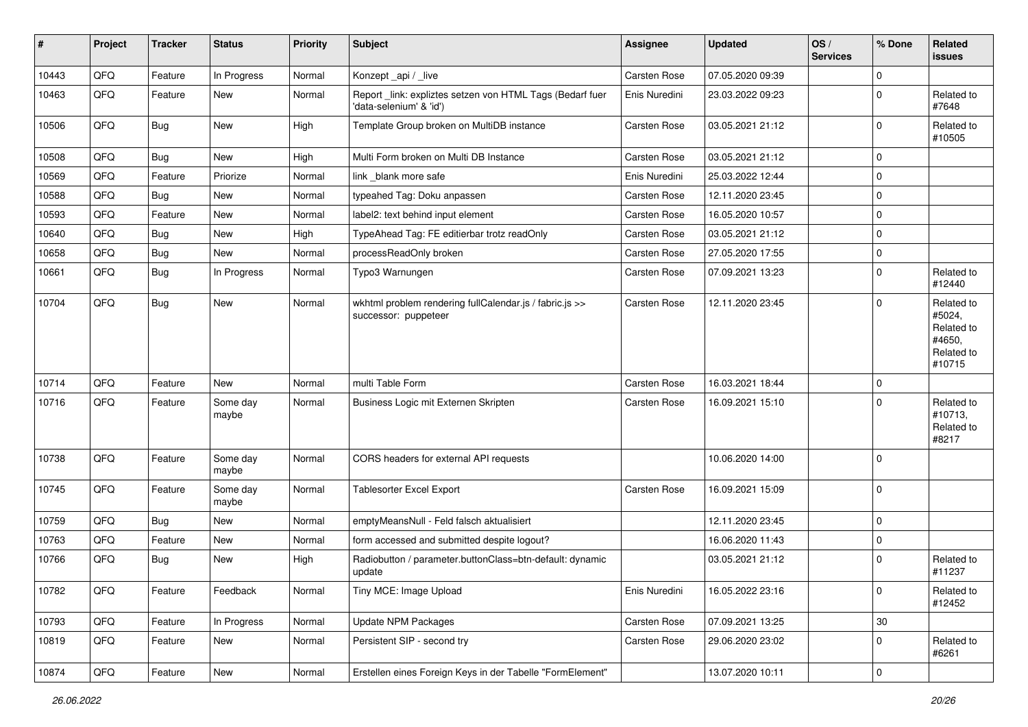| #     | Project | <b>Tracker</b> | <b>Status</b>     | <b>Priority</b> | Subject                                                                             | <b>Assignee</b>     | <b>Updated</b>   | OS/<br><b>Services</b> | % Done      | Related<br><b>issues</b>                                             |
|-------|---------|----------------|-------------------|-----------------|-------------------------------------------------------------------------------------|---------------------|------------------|------------------------|-------------|----------------------------------------------------------------------|
| 10443 | QFQ     | Feature        | In Progress       | Normal          | Konzept_api / _live                                                                 | Carsten Rose        | 07.05.2020 09:39 |                        | $\Omega$    |                                                                      |
| 10463 | QFQ     | Feature        | <b>New</b>        | Normal          | Report_link: expliztes setzen von HTML Tags (Bedarf fuer<br>'data-selenium' & 'id') | Enis Nuredini       | 23.03.2022 09:23 |                        | $\mathbf 0$ | Related to<br>#7648                                                  |
| 10506 | QFQ     | <b>Bug</b>     | <b>New</b>        | High            | Template Group broken on MultiDB instance                                           | <b>Carsten Rose</b> | 03.05.2021 21:12 |                        | $\mathbf 0$ | Related to<br>#10505                                                 |
| 10508 | QFQ     | Bug            | New               | High            | Multi Form broken on Multi DB Instance                                              | <b>Carsten Rose</b> | 03.05.2021 21:12 |                        | $\Omega$    |                                                                      |
| 10569 | QFQ     | Feature        | Priorize          | Normal          | link blank more safe                                                                | Enis Nuredini       | 25.03.2022 12:44 |                        | $\mathbf 0$ |                                                                      |
| 10588 | QFQ     | Bug            | New               | Normal          | typeahed Tag: Doku anpassen                                                         | <b>Carsten Rose</b> | 12.11.2020 23:45 |                        | $\mathbf 0$ |                                                                      |
| 10593 | QFQ     | Feature        | New               | Normal          | label2: text behind input element                                                   | <b>Carsten Rose</b> | 16.05.2020 10:57 |                        | 0           |                                                                      |
| 10640 | QFQ     | Bug            | New               | High            | TypeAhead Tag: FE editierbar trotz readOnly                                         | <b>Carsten Rose</b> | 03.05.2021 21:12 |                        | $\mathbf 0$ |                                                                      |
| 10658 | QFQ     | <b>Bug</b>     | New               | Normal          | processReadOnly broken                                                              | Carsten Rose        | 27.05.2020 17:55 |                        | $\mathbf 0$ |                                                                      |
| 10661 | QFQ     | <b>Bug</b>     | In Progress       | Normal          | Typo3 Warnungen                                                                     | <b>Carsten Rose</b> | 07.09.2021 13:23 |                        | $\mathbf 0$ | Related to<br>#12440                                                 |
| 10704 | QFQ     | <b>Bug</b>     | New               | Normal          | wkhtml problem rendering fullCalendar.js / fabric.js >><br>successor: puppeteer     | <b>Carsten Rose</b> | 12.11.2020 23:45 |                        | $\Omega$    | Related to<br>#5024,<br>Related to<br>#4650,<br>Related to<br>#10715 |
| 10714 | QFQ     | Feature        | <b>New</b>        | Normal          | multi Table Form                                                                    | <b>Carsten Rose</b> | 16.03.2021 18:44 |                        | $\mathbf 0$ |                                                                      |
| 10716 | QFQ     | Feature        | Some day<br>maybe | Normal          | Business Logic mit Externen Skripten                                                | Carsten Rose        | 16.09.2021 15:10 |                        | $\Omega$    | Related to<br>#10713,<br>Related to<br>#8217                         |
| 10738 | QFQ     | Feature        | Some day<br>maybe | Normal          | CORS headers for external API requests                                              |                     | 10.06.2020 14:00 |                        | $\mathbf 0$ |                                                                      |
| 10745 | QFQ     | Feature        | Some day<br>maybe | Normal          | <b>Tablesorter Excel Export</b>                                                     | <b>Carsten Rose</b> | 16.09.2021 15:09 |                        | $\Omega$    |                                                                      |
| 10759 | QFQ     | <b>Bug</b>     | New               | Normal          | emptyMeansNull - Feld falsch aktualisiert                                           |                     | 12.11.2020 23:45 |                        | $\mathbf 0$ |                                                                      |
| 10763 | QFQ     | Feature        | New               | Normal          | form accessed and submitted despite logout?                                         |                     | 16.06.2020 11:43 |                        | $\mathbf 0$ |                                                                      |
| 10766 | QFQ     | Bug            | New               | High            | Radiobutton / parameter.buttonClass=btn-default: dynamic<br>update                  |                     | 03.05.2021 21:12 |                        | $\Omega$    | Related to<br>#11237                                                 |
| 10782 | QFO     | Feature        | Feedback          | Normal          | Tiny MCE: Image Upload                                                              | Enis Nuredini       | 16.05.2022 23:16 |                        | $\mathbf 0$ | Related to<br>#12452                                                 |
| 10793 | QFQ     | Feature        | In Progress       | Normal          | Update NPM Packages                                                                 | Carsten Rose        | 07.09.2021 13:25 |                        | 30          |                                                                      |
| 10819 | QFQ     | Feature        | New               | Normal          | Persistent SIP - second try                                                         | Carsten Rose        | 29.06.2020 23:02 |                        | $\mathbf 0$ | Related to<br>#6261                                                  |
| 10874 | QFQ     | Feature        | New               | Normal          | Erstellen eines Foreign Keys in der Tabelle "FormElement"                           |                     | 13.07.2020 10:11 |                        | 0           |                                                                      |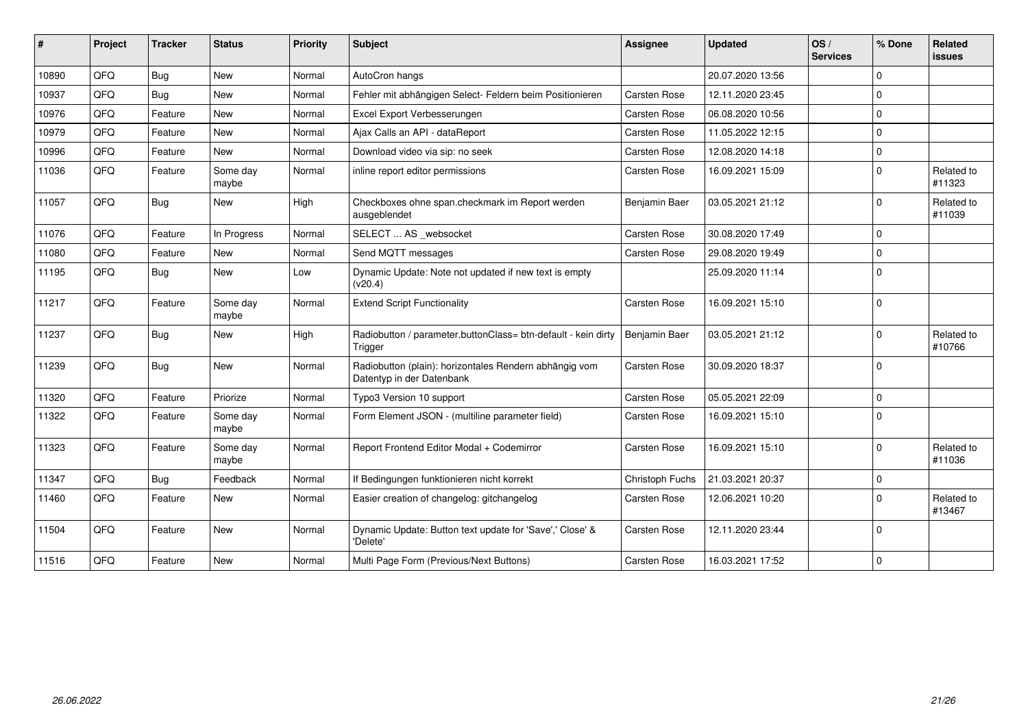| #     | Project | <b>Tracker</b> | <b>Status</b>     | <b>Priority</b> | <b>Subject</b>                                                                      | <b>Assignee</b>      | <b>Updated</b>   | OS/<br><b>Services</b> | % Done      | Related<br><b>issues</b> |
|-------|---------|----------------|-------------------|-----------------|-------------------------------------------------------------------------------------|----------------------|------------------|------------------------|-------------|--------------------------|
| 10890 | QFQ     | Bug            | New               | Normal          | AutoCron hangs                                                                      |                      | 20.07.2020 13:56 |                        | $\Omega$    |                          |
| 10937 | QFQ     | <b>Bug</b>     | <b>New</b>        | Normal          | Fehler mit abhängigen Select- Feldern beim Positionieren                            | Carsten Rose         | 12.11.2020 23:45 |                        | $\Omega$    |                          |
| 10976 | QFQ     | Feature        | <b>New</b>        | Normal          | Excel Export Verbesserungen                                                         | <b>Carsten Rose</b>  | 06.08.2020 10:56 |                        | $\Omega$    |                          |
| 10979 | QFQ     | Feature        | New               | Normal          | Ajax Calls an API - dataReport                                                      | <b>Carsten Rose</b>  | 11.05.2022 12:15 |                        | $\Omega$    |                          |
| 10996 | QFQ     | Feature        | <b>New</b>        | Normal          | Download video via sip: no seek                                                     | <b>Carsten Rose</b>  | 12.08.2020 14:18 |                        | $\Omega$    |                          |
| 11036 | QFQ     | Feature        | Some day<br>maybe | Normal          | inline report editor permissions                                                    | <b>Carsten Rose</b>  | 16.09.2021 15:09 |                        | $\Omega$    | Related to<br>#11323     |
| 11057 | QFQ     | <b>Bug</b>     | <b>New</b>        | High            | Checkboxes ohne span.checkmark im Report werden<br>ausgeblendet                     | <b>Benjamin Baer</b> | 03.05.2021 21:12 |                        | $\Omega$    | Related to<br>#11039     |
| 11076 | QFQ     | Feature        | In Progress       | Normal          | SELECT  AS _websocket                                                               | Carsten Rose         | 30.08.2020 17:49 |                        | $\Omega$    |                          |
| 11080 | QFQ     | Feature        | <b>New</b>        | Normal          | Send MQTT messages                                                                  | <b>Carsten Rose</b>  | 29.08.2020 19:49 |                        | $\Omega$    |                          |
| 11195 | QFQ     | <b>Bug</b>     | New               | Low             | Dynamic Update: Note not updated if new text is empty<br>(v20.4)                    |                      | 25.09.2020 11:14 |                        | $\Omega$    |                          |
| 11217 | QFQ     | Feature        | Some day<br>maybe | Normal          | <b>Extend Script Functionality</b>                                                  | <b>Carsten Rose</b>  | 16.09.2021 15:10 |                        | $\Omega$    |                          |
| 11237 | QFQ     | <b>Bug</b>     | New               | High            | Radiobutton / parameter.buttonClass= btn-default - kein dirty<br>Trigger            | Benjamin Baer        | 03.05.2021 21:12 |                        | $\Omega$    | Related to<br>#10766     |
| 11239 | QFQ     | <b>Bug</b>     | New               | Normal          | Radiobutton (plain): horizontales Rendern abhängig vom<br>Datentyp in der Datenbank | <b>Carsten Rose</b>  | 30.09.2020 18:37 |                        | $\Omega$    |                          |
| 11320 | QFQ     | Feature        | Priorize          | Normal          | Typo3 Version 10 support                                                            | <b>Carsten Rose</b>  | 05.05.2021 22:09 |                        | $\Omega$    |                          |
| 11322 | QFQ     | Feature        | Some day<br>maybe | Normal          | Form Element JSON - (multiline parameter field)                                     | <b>Carsten Rose</b>  | 16.09.2021 15:10 |                        | $\Omega$    |                          |
| 11323 | QFQ     | Feature        | Some day<br>maybe | Normal          | Report Frontend Editor Modal + Codemirror                                           | <b>Carsten Rose</b>  | 16.09.2021 15:10 |                        | $\Omega$    | Related to<br>#11036     |
| 11347 | QFQ     | <b>Bug</b>     | Feedback          | Normal          | If Bedingungen funktionieren nicht korrekt                                          | Christoph Fuchs      | 21.03.2021 20:37 |                        | $\Omega$    |                          |
| 11460 | QFQ     | Feature        | New               | Normal          | Easier creation of changelog: gitchangelog                                          | Carsten Rose         | 12.06.2021 10:20 |                        | $\Omega$    | Related to<br>#13467     |
| 11504 | QFQ     | Feature        | New               | Normal          | Dynamic Update: Button text update for 'Save',' Close' &<br>'Delete'                | <b>Carsten Rose</b>  | 12.11.2020 23:44 |                        | $\Omega$    |                          |
| 11516 | QFQ     | Feature        | New               | Normal          | Multi Page Form (Previous/Next Buttons)                                             | Carsten Rose         | 16.03.2021 17:52 |                        | $\mathbf 0$ |                          |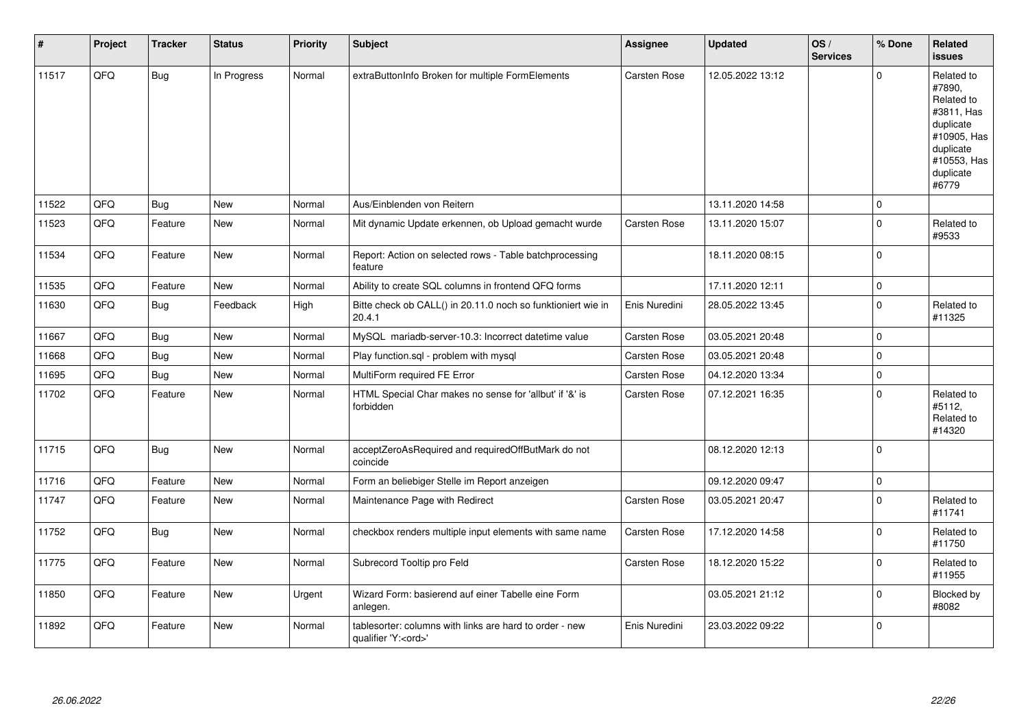| $\vert$ # | Project | <b>Tracker</b> | <b>Status</b> | <b>Priority</b> | Subject                                                                               | Assignee            | <b>Updated</b>   | OS/<br><b>Services</b> | % Done       | Related<br>issues                                                                                                              |
|-----------|---------|----------------|---------------|-----------------|---------------------------------------------------------------------------------------|---------------------|------------------|------------------------|--------------|--------------------------------------------------------------------------------------------------------------------------------|
| 11517     | QFQ     | <b>Bug</b>     | In Progress   | Normal          | extraButtonInfo Broken for multiple FormElements                                      | Carsten Rose        | 12.05.2022 13:12 |                        | $\Omega$     | Related to<br>#7890,<br>Related to<br>#3811, Has<br>duplicate<br>#10905, Has<br>duplicate<br>#10553, Has<br>duplicate<br>#6779 |
| 11522     | QFQ     | <b>Bug</b>     | <b>New</b>    | Normal          | Aus/Einblenden von Reitern                                                            |                     | 13.11.2020 14:58 |                        | $\Omega$     |                                                                                                                                |
| 11523     | QFQ     | Feature        | <b>New</b>    | Normal          | Mit dynamic Update erkennen, ob Upload gemacht wurde                                  | Carsten Rose        | 13.11.2020 15:07 |                        | $\Omega$     | Related to<br>#9533                                                                                                            |
| 11534     | QFQ     | Feature        | New           | Normal          | Report: Action on selected rows - Table batchprocessing<br>feature                    |                     | 18.11.2020 08:15 |                        | $\Omega$     |                                                                                                                                |
| 11535     | QFQ     | Feature        | <b>New</b>    | Normal          | Ability to create SQL columns in frontend QFQ forms                                   |                     | 17.11.2020 12:11 |                        | $\mathbf{0}$ |                                                                                                                                |
| 11630     | QFQ     | <b>Bug</b>     | Feedback      | High            | Bitte check ob CALL() in 20.11.0 noch so funktioniert wie in<br>20.4.1                | Enis Nuredini       | 28.05.2022 13:45 |                        | $\Omega$     | Related to<br>#11325                                                                                                           |
| 11667     | QFQ     | <b>Bug</b>     | <b>New</b>    | Normal          | MySQL mariadb-server-10.3: Incorrect datetime value                                   | <b>Carsten Rose</b> | 03.05.2021 20:48 |                        | 0            |                                                                                                                                |
| 11668     | QFQ     | Bug            | New           | Normal          | Play function.sql - problem with mysql                                                | Carsten Rose        | 03.05.2021 20:48 |                        | $\Omega$     |                                                                                                                                |
| 11695     | QFQ     | Bug            | <b>New</b>    | Normal          | MultiForm required FE Error                                                           | <b>Carsten Rose</b> | 04.12.2020 13:34 |                        | 0            |                                                                                                                                |
| 11702     | QFQ     | Feature        | <b>New</b>    | Normal          | HTML Special Char makes no sense for 'allbut' if '&' is<br>forbidden                  | Carsten Rose        | 07.12.2021 16:35 |                        | $\Omega$     | Related to<br>#5112.<br>Related to<br>#14320                                                                                   |
| 11715     | QFQ     | <b>Bug</b>     | <b>New</b>    | Normal          | acceptZeroAsRequired and requiredOffButMark do not<br>coincide                        |                     | 08.12.2020 12:13 |                        | $\Omega$     |                                                                                                                                |
| 11716     | QFQ     | Feature        | <b>New</b>    | Normal          | Form an beliebiger Stelle im Report anzeigen                                          |                     | 09.12.2020 09:47 |                        | $\mathbf 0$  |                                                                                                                                |
| 11747     | QFQ     | Feature        | New           | Normal          | Maintenance Page with Redirect                                                        | Carsten Rose        | 03.05.2021 20:47 |                        | $\Omega$     | Related to<br>#11741                                                                                                           |
| 11752     | QFQ     | Bug            | <b>New</b>    | Normal          | checkbox renders multiple input elements with same name                               | Carsten Rose        | 17.12.2020 14:58 |                        | $\Omega$     | Related to<br>#11750                                                                                                           |
| 11775     | QFQ     | Feature        | <b>New</b>    | Normal          | Subrecord Tooltip pro Feld                                                            | Carsten Rose        | 18.12.2020 15:22 |                        | $\Omega$     | Related to<br>#11955                                                                                                           |
| 11850     | QFQ     | Feature        | <b>New</b>    | Urgent          | Wizard Form: basierend auf einer Tabelle eine Form<br>anlegen.                        |                     | 03.05.2021 21:12 |                        | 0            | Blocked by<br>#8082                                                                                                            |
| 11892     | QFQ     | Feature        | <b>New</b>    | Normal          | tablesorter: columns with links are hard to order - new<br>qualifier 'Y: <ord>'</ord> | Enis Nuredini       | 23.03.2022 09:22 |                        | 0            |                                                                                                                                |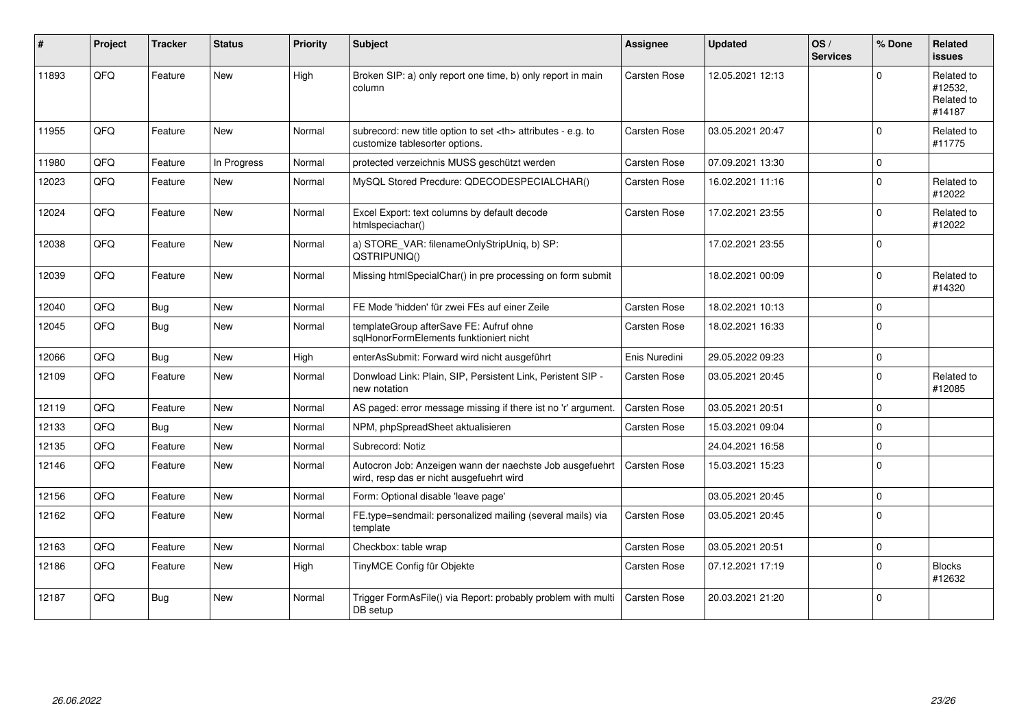| ∦     | Project | <b>Tracker</b> | <b>Status</b> | <b>Priority</b> | <b>Subject</b>                                                                                       | <b>Assignee</b>                                        | <b>Updated</b>      | OS/<br><b>Services</b> | % Done      | Related<br><b>issues</b>                      |                      |
|-------|---------|----------------|---------------|-----------------|------------------------------------------------------------------------------------------------------|--------------------------------------------------------|---------------------|------------------------|-------------|-----------------------------------------------|----------------------|
| 11893 | QFQ     | Feature        | <b>New</b>    | High            | Broken SIP: a) only report one time, b) only report in main<br>column                                | <b>Carsten Rose</b>                                    | 12.05.2021 12:13    |                        | $\Omega$    | Related to<br>#12532,<br>Related to<br>#14187 |                      |
| 11955 | QFQ     | Feature        | New           | Normal          | subrecord: new title option to set <th> attributes - e.g. to<br/>customize tablesorter options.</th> | attributes - e.g. to<br>customize tablesorter options. | <b>Carsten Rose</b> | 03.05.2021 20:47       |             | $\mathbf 0$                                   | Related to<br>#11775 |
| 11980 | QFQ     | Feature        | In Progress   | Normal          | protected verzeichnis MUSS geschützt werden                                                          | <b>Carsten Rose</b>                                    | 07.09.2021 13:30    |                        | $\Omega$    |                                               |                      |
| 12023 | QFQ     | Feature        | New           | Normal          | MySQL Stored Precdure: QDECODESPECIALCHAR()                                                          | Carsten Rose                                           | 16.02.2021 11:16    |                        | $\Omega$    | Related to<br>#12022                          |                      |
| 12024 | QFQ     | Feature        | New           | Normal          | Excel Export: text columns by default decode<br>htmlspeciachar()                                     | <b>Carsten Rose</b>                                    | 17.02.2021 23:55    |                        | $\Omega$    | Related to<br>#12022                          |                      |
| 12038 | QFQ     | Feature        | New           | Normal          | a) STORE_VAR: filenameOnlyStripUniq, b) SP:<br>QSTRIPUNIQ()                                          |                                                        | 17.02.2021 23:55    |                        | $\Omega$    |                                               |                      |
| 12039 | QFQ     | Feature        | <b>New</b>    | Normal          | Missing htmlSpecialChar() in pre processing on form submit                                           |                                                        | 18.02.2021 00:09    |                        | $\Omega$    | Related to<br>#14320                          |                      |
| 12040 | QFQ     | <b>Bug</b>     | <b>New</b>    | Normal          | FE Mode 'hidden' für zwei FEs auf einer Zeile                                                        | <b>Carsten Rose</b>                                    | 18.02.2021 10:13    |                        | $\Omega$    |                                               |                      |
| 12045 | QFQ     | <b>Bug</b>     | <b>New</b>    | Normal          | templateGroup afterSave FE: Aufruf ohne<br>sqlHonorFormElements funktioniert nicht                   | <b>Carsten Rose</b>                                    | 18.02.2021 16:33    |                        | $\Omega$    |                                               |                      |
| 12066 | QFQ     | Bug            | <b>New</b>    | High            | enterAsSubmit: Forward wird nicht ausgeführt                                                         | Enis Nuredini                                          | 29.05.2022 09:23    |                        | $\mathbf 0$ |                                               |                      |
| 12109 | QFQ     | Feature        | <b>New</b>    | Normal          | Donwload Link: Plain, SIP, Persistent Link, Peristent SIP -<br>new notation                          | <b>Carsten Rose</b>                                    | 03.05.2021 20:45    |                        | $\Omega$    | Related to<br>#12085                          |                      |
| 12119 | QFQ     | Feature        | <b>New</b>    | Normal          | AS paged: error message missing if there ist no 'r' argument.                                        | <b>Carsten Rose</b>                                    | 03.05.2021 20:51    |                        | $\Omega$    |                                               |                      |
| 12133 | QFQ     | <b>Bug</b>     | New           | Normal          | NPM, phpSpreadSheet aktualisieren                                                                    | <b>Carsten Rose</b>                                    | 15.03.2021 09:04    |                        | $\Omega$    |                                               |                      |
| 12135 | QFQ     | Feature        | <b>New</b>    | Normal          | Subrecord: Notiz                                                                                     |                                                        | 24.04.2021 16:58    |                        | $\Omega$    |                                               |                      |
| 12146 | QFQ     | Feature        | <b>New</b>    | Normal          | Autocron Job: Anzeigen wann der naechste Job ausgefuehrt<br>wird, resp das er nicht ausgefuehrt wird | <b>Carsten Rose</b>                                    | 15.03.2021 15:23    |                        | $\Omega$    |                                               |                      |
| 12156 | QFQ     | Feature        | <b>New</b>    | Normal          | Form: Optional disable 'leave page'                                                                  |                                                        | 03.05.2021 20:45    |                        | $\Omega$    |                                               |                      |
| 12162 | QFQ     | Feature        | <b>New</b>    | Normal          | FE.type=sendmail: personalized mailing (several mails) via<br>template                               | <b>Carsten Rose</b>                                    | 03.05.2021 20:45    |                        | $\Omega$    |                                               |                      |
| 12163 | QFQ     | Feature        | <b>New</b>    | Normal          | Checkbox: table wrap                                                                                 | Carsten Rose                                           | 03.05.2021 20:51    |                        | $\mathbf 0$ |                                               |                      |
| 12186 | QFQ     | Feature        | <b>New</b>    | High            | TinyMCE Config für Objekte                                                                           | Carsten Rose                                           | 07.12.2021 17:19    |                        | $\Omega$    | <b>Blocks</b><br>#12632                       |                      |
| 12187 | QFQ     | <b>Bug</b>     | New           | Normal          | Trigger FormAsFile() via Report: probably problem with multi<br>DB setup                             | Carsten Rose                                           | 20.03.2021 21:20    |                        | $\Omega$    |                                               |                      |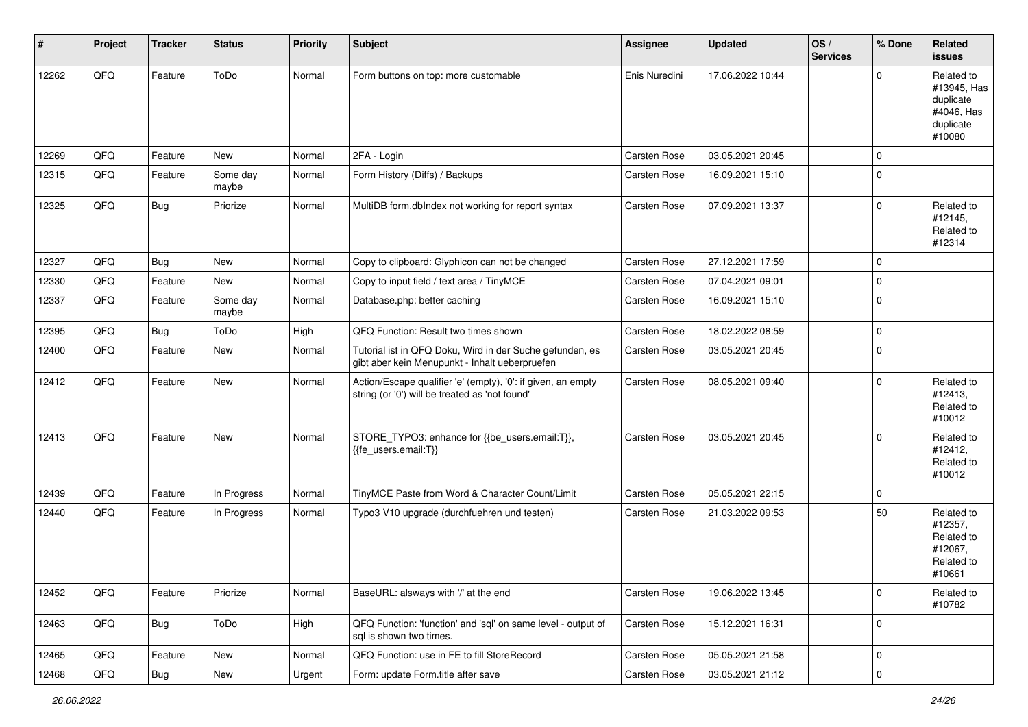| #     | Project | <b>Tracker</b> | <b>Status</b>     | <b>Priority</b> | Subject                                                                                                        | <b>Assignee</b>     | <b>Updated</b>   | OS/<br><b>Services</b> | % Done      | Related<br><b>issues</b>                                                    |
|-------|---------|----------------|-------------------|-----------------|----------------------------------------------------------------------------------------------------------------|---------------------|------------------|------------------------|-------------|-----------------------------------------------------------------------------|
| 12262 | QFQ     | Feature        | ToDo              | Normal          | Form buttons on top: more customable                                                                           | Enis Nuredini       | 17.06.2022 10:44 |                        | $\Omega$    | Related to<br>#13945, Has<br>duplicate<br>#4046, Has<br>duplicate<br>#10080 |
| 12269 | QFQ     | Feature        | New               | Normal          | 2FA - Login                                                                                                    | <b>Carsten Rose</b> | 03.05.2021 20:45 |                        | $\mathbf 0$ |                                                                             |
| 12315 | QFQ     | Feature        | Some day<br>maybe | Normal          | Form History (Diffs) / Backups                                                                                 | <b>Carsten Rose</b> | 16.09.2021 15:10 |                        | $\Omega$    |                                                                             |
| 12325 | QFQ     | Bug            | Priorize          | Normal          | MultiDB form.dblndex not working for report syntax                                                             | <b>Carsten Rose</b> | 07.09.2021 13:37 |                        | $\Omega$    | Related to<br>#12145,<br>Related to<br>#12314                               |
| 12327 | QFQ     | Bug            | New               | Normal          | Copy to clipboard: Glyphicon can not be changed                                                                | Carsten Rose        | 27.12.2021 17:59 |                        | $\Omega$    |                                                                             |
| 12330 | QFQ     | Feature        | <b>New</b>        | Normal          | Copy to input field / text area / TinyMCE                                                                      | <b>Carsten Rose</b> | 07.04.2021 09:01 |                        | $\mathbf 0$ |                                                                             |
| 12337 | QFQ     | Feature        | Some day<br>maybe | Normal          | Database.php: better caching                                                                                   | <b>Carsten Rose</b> | 16.09.2021 15:10 |                        | $\Omega$    |                                                                             |
| 12395 | QFQ     | <b>Bug</b>     | ToDo              | High            | QFQ Function: Result two times shown                                                                           | Carsten Rose        | 18.02.2022 08:59 |                        | $\mathbf 0$ |                                                                             |
| 12400 | QFQ     | Feature        | New               | Normal          | Tutorial ist in QFQ Doku, Wird in der Suche gefunden, es<br>gibt aber kein Menupunkt - Inhalt ueberpruefen     | <b>Carsten Rose</b> | 03.05.2021 20:45 |                        | $\Omega$    |                                                                             |
| 12412 | QFQ     | Feature        | <b>New</b>        | Normal          | Action/Escape qualifier 'e' (empty), '0': if given, an empty<br>string (or '0') will be treated as 'not found' | <b>Carsten Rose</b> | 08.05.2021 09:40 |                        | $\Omega$    | Related to<br>#12413,<br>Related to<br>#10012                               |
| 12413 | QFQ     | Feature        | New               | Normal          | STORE_TYPO3: enhance for {{be_users.email:T}},<br>{{fe_users.email:T}}                                         | Carsten Rose        | 03.05.2021 20:45 |                        | $\Omega$    | Related to<br>#12412,<br>Related to<br>#10012                               |
| 12439 | QFQ     | Feature        | In Progress       | Normal          | TinyMCE Paste from Word & Character Count/Limit                                                                | <b>Carsten Rose</b> | 05.05.2021 22:15 |                        | $\Omega$    |                                                                             |
| 12440 | QFQ     | Feature        | In Progress       | Normal          | Typo3 V10 upgrade (durchfuehren und testen)                                                                    | Carsten Rose        | 21.03.2022 09:53 |                        | 50          | Related to<br>#12357,<br>Related to<br>#12067,<br>Related to<br>#10661      |
| 12452 | QFQ     | Feature        | Priorize          | Normal          | BaseURL: alsways with '/' at the end                                                                           | Carsten Rose        | 19.06.2022 13:45 |                        | 0           | Related to<br>#10782                                                        |
| 12463 | QFQ     | <b>Bug</b>     | ToDo              | High            | QFQ Function: 'function' and 'sql' on same level - output of<br>sql is shown two times.                        | Carsten Rose        | 15.12.2021 16:31 |                        | l 0         |                                                                             |
| 12465 | QFQ     | Feature        | New               | Normal          | QFQ Function: use in FE to fill StoreRecord                                                                    | Carsten Rose        | 05.05.2021 21:58 |                        | 0           |                                                                             |
| 12468 | QFG     | <b>Bug</b>     | New               | Urgent          | Form: update Form.title after save                                                                             | Carsten Rose        | 03.05.2021 21:12 |                        | $\mathbf 0$ |                                                                             |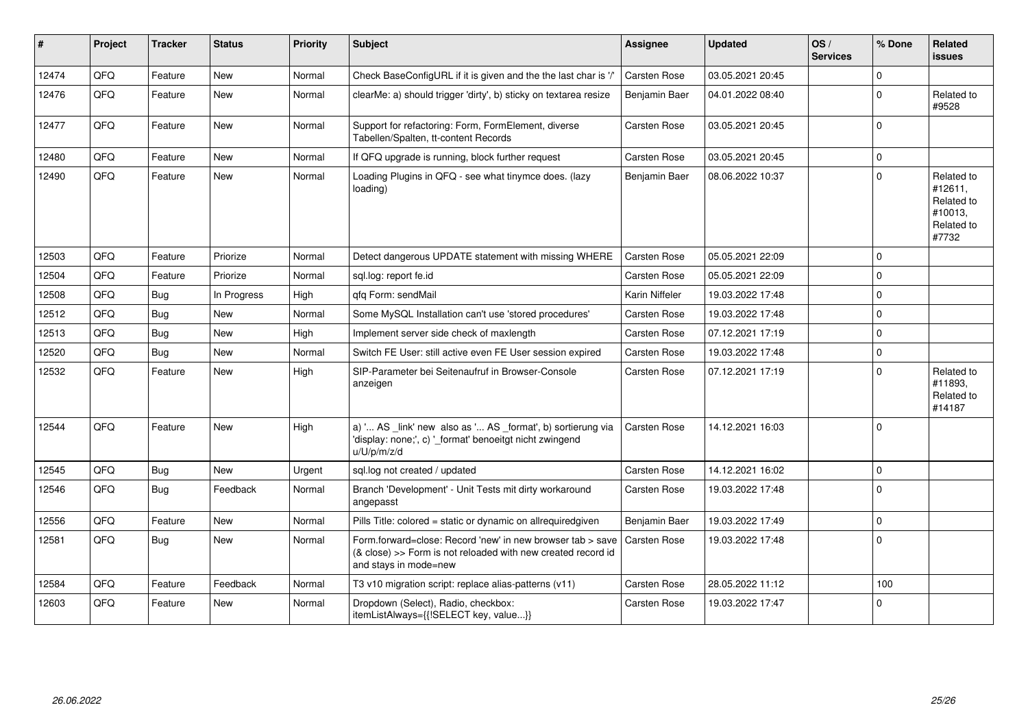| #     | Project | <b>Tracker</b> | <b>Status</b> | <b>Priority</b> | <b>Subject</b>                                                                                                                                      | Assignee            | <b>Updated</b>   | OS/<br><b>Services</b> | % Done      | Related<br><b>issues</b>                                              |
|-------|---------|----------------|---------------|-----------------|-----------------------------------------------------------------------------------------------------------------------------------------------------|---------------------|------------------|------------------------|-------------|-----------------------------------------------------------------------|
| 12474 | QFQ     | Feature        | <b>New</b>    | Normal          | Check BaseConfigURL if it is given and the the last char is '/'                                                                                     | Carsten Rose        | 03.05.2021 20:45 |                        | $\Omega$    |                                                                       |
| 12476 | QFQ     | Feature        | <b>New</b>    | Normal          | clearMe: a) should trigger 'dirty', b) sticky on textarea resize                                                                                    | Benjamin Baer       | 04.01.2022 08:40 |                        | $\Omega$    | Related to<br>#9528                                                   |
| 12477 | QFQ     | Feature        | <b>New</b>    | Normal          | Support for refactoring: Form, FormElement, diverse<br>Tabellen/Spalten, tt-content Records                                                         | Carsten Rose        | 03.05.2021 20:45 |                        | 0           |                                                                       |
| 12480 | QFQ     | Feature        | <b>New</b>    | Normal          | If QFQ upgrade is running, block further request                                                                                                    | <b>Carsten Rose</b> | 03.05.2021 20:45 |                        | $\Omega$    |                                                                       |
| 12490 | QFQ     | Feature        | <b>New</b>    | Normal          | Loading Plugins in QFQ - see what tinymce does. (lazy<br>loading)                                                                                   | Benjamin Baer       | 08.06.2022 10:37 |                        | $\Omega$    | Related to<br>#12611.<br>Related to<br>#10013.<br>Related to<br>#7732 |
| 12503 | QFQ     | Feature        | Priorize      | Normal          | Detect dangerous UPDATE statement with missing WHERE                                                                                                | Carsten Rose        | 05.05.2021 22:09 |                        | O           |                                                                       |
| 12504 | QFQ     | Feature        | Priorize      | Normal          | sql.log: report fe.id                                                                                                                               | Carsten Rose        | 05.05.2021 22:09 |                        | $\Omega$    |                                                                       |
| 12508 | QFQ     | <b>Bug</b>     | In Progress   | High            | qfq Form: sendMail                                                                                                                                  | Karin Niffeler      | 19.03.2022 17:48 |                        | $\Omega$    |                                                                       |
| 12512 | QFQ     | Bug            | <b>New</b>    | Normal          | Some MySQL Installation can't use 'stored procedures'                                                                                               | <b>Carsten Rose</b> | 19.03.2022 17:48 |                        | $\mathbf 0$ |                                                                       |
| 12513 | QFQ     | Bug            | <b>New</b>    | High            | Implement server side check of maxlength                                                                                                            | Carsten Rose        | 07.12.2021 17:19 |                        | $\Omega$    |                                                                       |
| 12520 | QFQ     | <b>Bug</b>     | <b>New</b>    | Normal          | Switch FE User: still active even FE User session expired                                                                                           | Carsten Rose        | 19.03.2022 17:48 |                        | $\Omega$    |                                                                       |
| 12532 | QFQ     | Feature        | <b>New</b>    | High            | SIP-Parameter bei Seitenaufruf in Browser-Console<br>anzeigen                                                                                       | Carsten Rose        | 07.12.2021 17:19 |                        | $\Omega$    | Related to<br>#11893,<br>Related to<br>#14187                         |
| 12544 | QFQ     | Feature        | <b>New</b>    | High            | a) ' AS _link' new also as ' AS _format', b) sortierung via<br>'display: none;', c) '_format' benoeitgt nicht zwingend<br>u/U/p/m/z/d               | <b>Carsten Rose</b> | 14.12.2021 16:03 |                        | $\Omega$    |                                                                       |
| 12545 | QFQ     | <b>Bug</b>     | <b>New</b>    | Urgent          | sql.log not created / updated                                                                                                                       | Carsten Rose        | 14.12.2021 16:02 |                        | O           |                                                                       |
| 12546 | QFQ     | Bug            | Feedback      | Normal          | Branch 'Development' - Unit Tests mit dirty workaround<br>angepasst                                                                                 | Carsten Rose        | 19.03.2022 17:48 |                        | $\Omega$    |                                                                       |
| 12556 | QFQ     | Feature        | <b>New</b>    | Normal          | Pills Title: colored = static or dynamic on allrequiredgiven                                                                                        | Benjamin Baer       | 19.03.2022 17:49 |                        | $\Omega$    |                                                                       |
| 12581 | QFQ     | <b>Bug</b>     | <b>New</b>    | Normal          | Form.forward=close: Record 'new' in new browser tab > save<br>(& close) >> Form is not reloaded with new created record id<br>and stays in mode=new | <b>Carsten Rose</b> | 19.03.2022 17:48 |                        | $\Omega$    |                                                                       |
| 12584 | QFQ     | Feature        | Feedback      | Normal          | T3 v10 migration script: replace alias-patterns (v11)                                                                                               | Carsten Rose        | 28.05.2022 11:12 |                        | 100         |                                                                       |
| 12603 | QFQ     | Feature        | <b>New</b>    | Normal          | Dropdown (Select), Radio, checkbox:<br>itemListAlways={{!SELECT key, value}}                                                                        | Carsten Rose        | 19.03.2022 17:47 |                        | $\Omega$    |                                                                       |